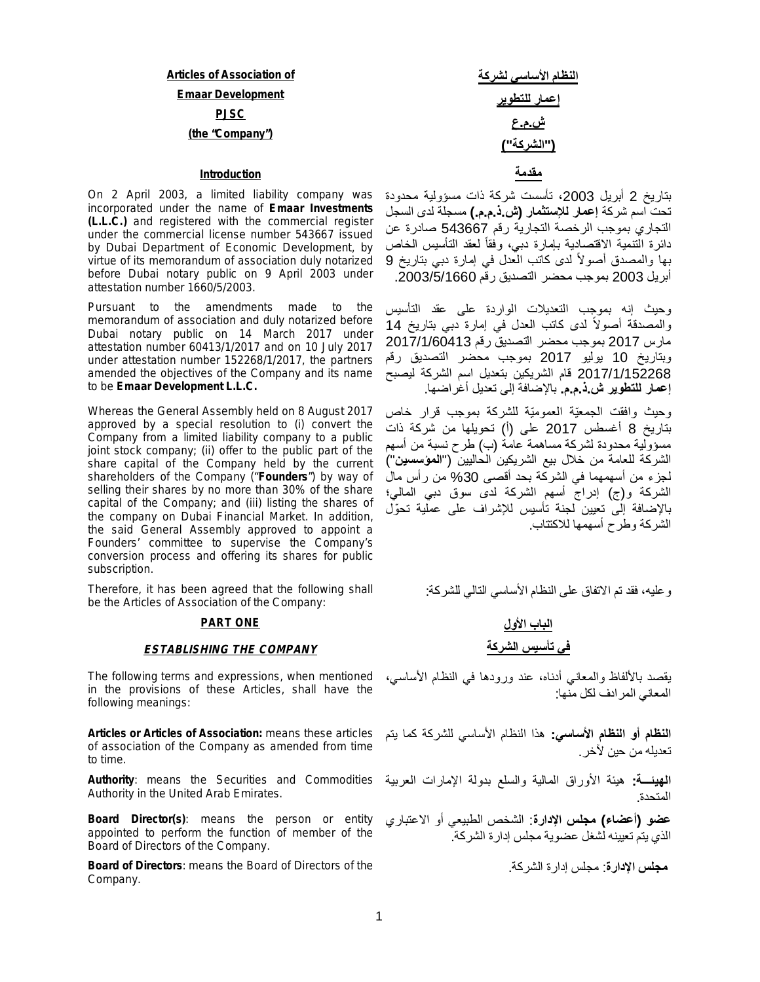# **Articles of Association of Emaar Development PJSC (the "Company")**

### **مقدمة Introduction**

On 2 April 2003, a limited liability company was incorporated under the name of **Emaar Investments (L.L.C.)** and registered with the commercial register under the commercial license number 543667 issued by Dubai Department of Economic Development, by virtue of its memorandum of association duly notarized before Dubai notary public on 9 April 2003 under attestation number 1660/5/2003.

Pursuant to the amendments made to the memorandum of association and duly notarized before Dubai notary public on 14 March 2017 under attestation number 60413/1/2017 and on 10 July 2017 under attestation number 152268/1/2017, the partners amended the objectives of the Company and its name to be **Emaar Development L.L.C.**

Whereas the General Assembly held on 8 August 2017 approved by a special resolution to (i) convert the Company from a limited liability company to a public joint stock company; (ii) offer to the public part of the share capital of the Company held by the current shareholders of the Company ("**Founders**") by way of selling their shares by no more than 30% of the share capital of the Company; and (iii) listing the shares of the company on Dubai Financial Market. In addition, the said General Assembly approved to appoint a Founders' committee to supervise the Company's conversion process and offering its shares for public subscription.

Therefore, it has been agreed that the following shall be the Articles of Association of the Company:

### **PART ONE**

### *ESTABLISHING THE COMPANY*

The following terms and expressions, when mentioned in the provisions of these Articles, shall have the following meanings:

**Articles or Articles of Association:** means these articles of association of the Company as amended from time to time.

**Authority**: means the Securities and Commodities **الھیئـــة:** ھیئة الأوراق المالیة والسلع بدولة الإمارات العربیة Authority in the United Arab Emirates.

**Board Director(s)**: means the person or entity appointed to perform the function of member of the Board of Directors of the Company.

**Board of Directors**: means the Board of Directors of the Company.

بتاریخ 2 أبریل ،2003 تأسست شركة ذات مسؤولیة محدودة تحت اسم شركة **إعمار للإستثمار (ش.ذ.م.م.)** مسجلة لدى السجل التجاري بموجب الرخصة التجاریة رقم 543667 صادرة عن دائرة التنمیة الاقتصادیة بإمارة دبي، وفقاً لعقد التأسيس الخاص بها والمصدق أصولاً لدى كاتب العدل في إمارة دبي بتاريخ 9 أبریل 2003 بموجب محضر التصدیق رقم .2003/5/1660

وحیث إنھ بموجب التعدیلات الواردة على عقد التأسیس والمصدقة أصولاً لدى كاتب العدل في إمارة دبي بتاريخ 14 مارس 2017 بموجب محضر التصدیق رقم 2017/1/60413 وبتاریخ 10 یولیو 2017 بموجب محضر التصدیق رقم 2017/1/152268 قام الشریكین بتعدیل اسم الشركة لیصبح **إعمار للتطویر ش.ذ.م.م.** بالإضافة إلى تعدیل أغراضھا.

وحیث وافقت الجمعّیة العمومّیة للشركة بموجب قرار خاص بتاریخ 8 أغسطس 2017 على (أ) تحویلھا من شركة ذات مسؤولیة محدودة لشركة مساھمة عامة (ب) طرح نسبة من أسھم الشركة للعامة من خلال بیع الشریكین الحالیین ("**المؤسسین**") لجزء من أسھمھما في الشركة بحد أقصى %30 من رأس مال الشركة و(ج) إدراج أسھم الشركة لدى سوق دبي المالي؛ بالإضافة إلى تعیین لجنة تأسیس للإشراف على عملیة تحّول الشركة وطرح أسھمھا للاكتتاب.

وعلیھ، فقد تم الاتفاق على النظام الأساسي التالي للشركة:

# **الباب الأول في تأسیس الشركة**

یقصد بالألفاظ والمعاني أدناه، عند ورودھا في النظام الأساسي، المعاني المرادف لكل منھا:

**النظام أو النظام الأساسي:** ھذا النظام الأساسي للشركة كما یتم تعدیلھ من حین لآخر.

المتحدة.

**عضو (أعضاء) مجلس الإدارة**: الشخص الطبیعي أو الاعتباري الذي یتم تعیینھ لشغل عضویة مجلس إدارة الشركة.

**مجلس الإدارة**: مجلس إدارة الشركة.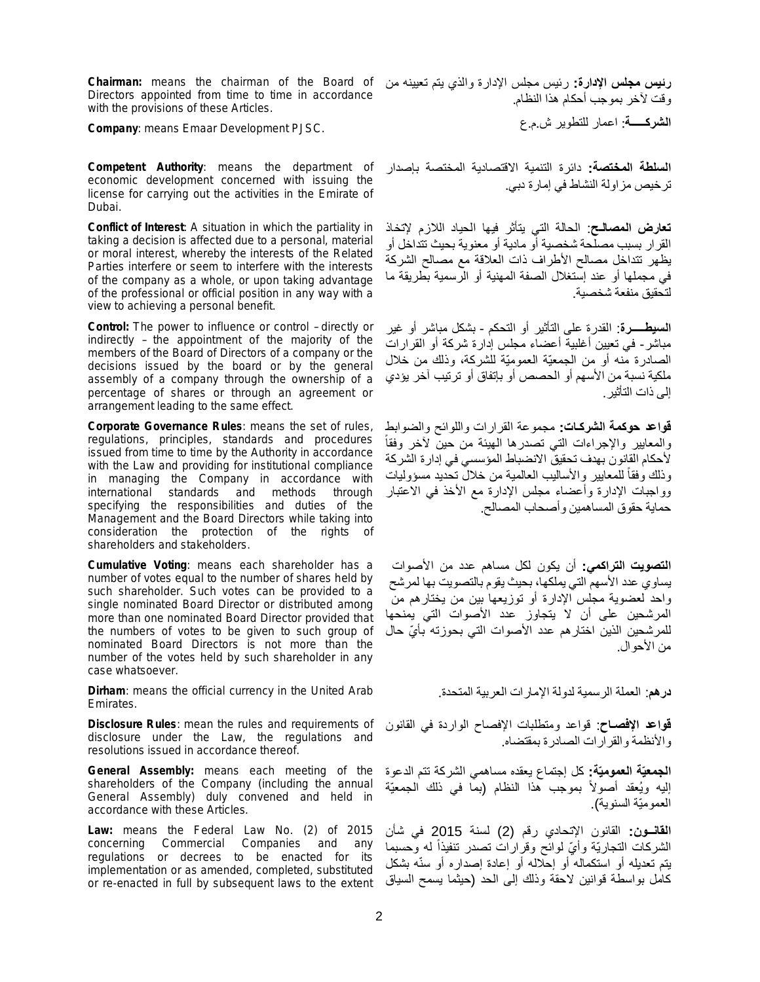**Chairman:** means the chairman of the Board of Directors appointed from time to time in accordance with the provisions of these Articles.

**Company**: means Emaar Development PJSC.

**Competent Authority**: means the department of economic development concerned with issuing the license for carrying out the activities in the Emirate of Dubai.

**Conflict of Interest**: A situation in which the partiality in taking a decision is affected due to a personal, material or moral interest, whereby the interests of the Related Parties interfere or seem to interfere with the interests of the company as a whole, or upon taking advantage of the professional or official position in any way with a view to achieving a personal benefit.

**Control:** The power to influence or control – directly or indirectly – the appointment of the majority of the members of the Board of Directors of a company or the decisions issued by the board or by the general assembly of a company through the ownership of a percentage of shares or through an agreement or arrangement leading to the same effect.

**Corporate Governance Rules**: means the set of rules, regulations, principles, standards and procedures issued from time to time by the Authority in accordance with the Law and providing for institutional compliance in managing the Company in accordance with international standards and methods through specifying the responsibilities and duties of the Management and the Board Directors while taking into consideration the protection of the rights of shareholders and stakeholders.

**Cumulative Voting**: means each shareholder has a number of votes equal to the number of shares held by such shareholder. Such votes can be provided to a single nominated Board Director or distributed among more than one nominated Board Director provided that the numbers of votes to be given to such group of nominated Board Directors is not more than the number of the votes held by such shareholder in any case whatsoever.

**Dirham**: means the official currency in the United Arab Emirates.

**Disclosure Rules**: mean the rules and requirements of disclosure under the Law, the regulations and resolutions issued in accordance thereof.

**General Assembly:** means each meeting of the shareholders of the Company (including the annual General Assembly) duly convened and held in accordance with these Articles.

**Law:** means the Federal Law No. (2) of 2015 concerning Commercial Companies and any regulations or decrees to be enacted for its implementation or as amended, completed, substituted or re-enacted in full by subsequent laws to the extent

**رئیس مجلس الإدارة:** رئیس مجلس الإدارة والذي یتم تعیینھ من وقت لآخر بموجب أحكام ھذا النظام. **الشركـــــة**: اعمار للتطویر ش.م.ع

**السلطة المختصة:** دائرة التنمیة الاقتصادیة المختصة بإصدار ترخیص مزاولة النشاط في إمارة دبي.

**تعارض المصالـح**: الحالة التي یتأثر فیھا الحیاد اللازم لإتخاذ القرار بسبب مصلحة شخصیة أو مادیة أو معنویة بحیث تتداخل أو یظھر تتداخل مصالح الأطراف ذات العلاقة مع مصالح الشركة في مجملھا أو عند إستغلال الصفة المھنیة أو الرسمیة بطریقة ما لتحقیق منفعة شخصیة.

**السیطـــــرة**: القدرة على التأثیر أو التحكم - بشكل مباشر أو غیر مباشر- في تعیین أغلبیة أعضاء مجلس إدارة شركة أو القرارات الصادرة منھ أو من الجمعیّة العمومیّة للشركة، وذلك من خلال ملكیة نسبة من الأسھم أو الحصص أو بإتفاق أو ترتیب آخر یؤدي إلى ذات التأثیر.

**قواعد حوكمة الشركـات:** مجموعة القرارات واللوائح والضوابط ً والمعاییر والإجراءات التي تصدرھا الھیئة من حین لآخر وفقا لأحكام القانون بھدف تحقیق الانضباط المؤسسي في إدارة الشركة وذلك وفقا للمعابير والأساليب العالمية من خلال تحديد مسؤوليات ً وواجبات الإدارة وأعضاء مجلس الإدارة مع الأخذ في الاعتبار حمایة حقوق المساھمین وأصحاب المصالح.

**التصویت التراكمي:** أن یكون لكل مساھم عدد من الأصوات یساوي عدد الأسھم التي یملكھا، بحیث یقوم بالتصویت بھا لمرشح واحد لعضویة مجلس الإدارة أو توزیعھا بین من یختارھم من المرشحین على أن لا یتجاوز عدد الأصوات التي یمنحھا للمرشحین الذین اختار هم عدد الأصوات التي بحوزته بأيّ حال من الأحوال.

**درھم**: العملة الرسمیة لدولة الإمارات العربیة المتحدة.

**قواعد الإفصـاح**: قواعد ومتطلبات الإفصاح الواردة في القانون والأنظمة والقرارات الصادرة بمقتضاه.

**الجمعیّة العمومیّة:** كل إجتماع یعقده مساھمي الشركة تتم الدعوة إليه ويُعقد أصولاً بموجب هذا النظام (بما في ذلك الجمعيّة العمومیّة السنویة).

**القانــون:** القانون الإتحادي رقم (2) لسنة 2015 في شأن الشركات التجاريّة وأيّ لموائح وقرارات تصدر تنفيذا له وحسبما ً یتم تعدیلھ أو استكمالھ أو إحلالھ أو إعادة إصداره أو سنھ بشكل ّ كامل بواسطة قوانین لاحقة وذلك إلى الحد (حیثما یسمح السیاق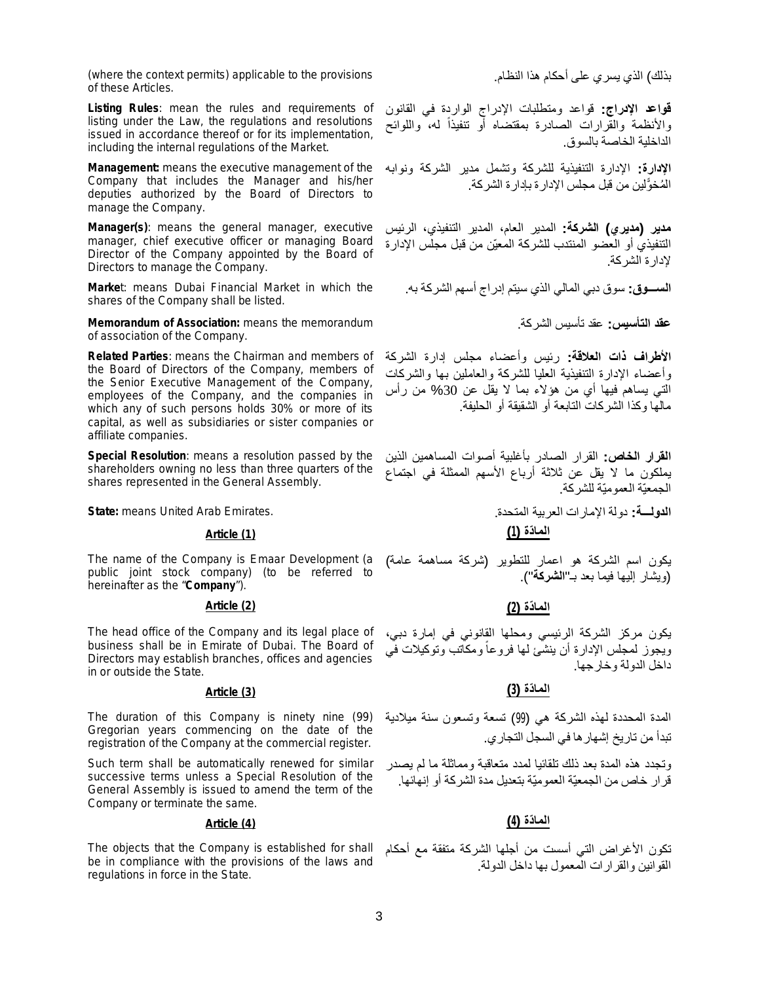(where the context permits) applicable to the provisions of these Articles.

**Listing Rules**: mean the rules and requirements of listing under the Law, the regulations and resolutions issued in accordance thereof or for its implementation, including the internal regulations of the Market.

**Management:** means the executive management of the Company that includes the Manager and his/her deputies authorized by the Board of Directors to manage the Company.

**Manager(s)**: means the general manager, executive manager, chief executive officer or managing Board Director of the Company appointed by the Board of Directors to manage the Company.

**Marke**t: means Dubai Financial Market in which the shares of the Company shall be listed.

**Memorandum of Association:** means the memorandum of association of the Company.

**Related Parties**: means the Chairman and members of the Board of Directors of the Company, members of the Senior Executive Management of the Company, employees of the Company, and the companies in which any of such persons holds 30% or more of its capital, as well as subsidiaries or sister companies or affiliate companies.

**Special Resolution**: means a resolution passed by the shareholders owning no less than three quarters of the shares represented in the General Assembly.

# **الما ّدة (1) (1) Article**

The name of the Company is Emaar Development (a public joint stock company) (to be referred to hereinafter as the "**Company**").

### **الما ّدة (2) (2) Article**

The head office of the Company and its legal place of business shall be in Emirate of Dubai. The Board of Directors may establish branches, offices and agencies in or outside the State.

The duration of this Company is ninety nine (99) Gregorian years commencing on the date of the registration of the Company at the commercial register.

Such term shall be automatically renewed for similar successive terms unless a Special Resolution of the General Assembly is issued to amend the term of the Company or terminate the same.

# **الما ّدة (4) (4) Article**

The objects that the Company is established for shall be in compliance with the provisions of the laws and regulations in force in the State.

بذلك) الذي یسري على أحكام ھذا النظام.

**قواعد الإدراج:** قواعد ومتطلبات الإدراج الواردة في القانون والأنظمة والقرارات الصادرة بمقتضاه أو تنفيذا له، واللوائح ً الداخلیة الخاصة بالسوق.

**الإدارة:** الإدارة التنفیذیة للشركة وتشمل مدیر الشركة ونوابھ الْمُخوَّلين من قبل مجلس الإدار ة بإدار ة الشركة.

**مدیر (مدیري) الشركة:** المدیر العام، المدیر التنفیذي، الرئیس التنفیذي أو العضو المنتدب للشركة المعیّن من قبل مجلس الإدارة لإدارة الشركة.

**الســـوق:** سوق دبي المالي الذي سیتم إدراج أسھم الشركة بھ.

**عقد التأسیس:** عقد تأسیس الشركة.

**الأطراف ذات العلاقة:** رئیس وأعضاء مجلس إدارة الشركة وأعضاء الإدارة التنفیذیة العلیا للشركة والعاملین بھا والشركات التي یساھم فیھا أي من ھؤلاء بما لا یقل عن %30 من رأس مالھا وكذا الشركات التابعة أو الشقیقة أو الحلیفة.

**القرار الخاص:** القرار الصادر بأغلبیة أصوات المساھمین الذین یملكون ما لا یقل عن ثلاثة أرباع الأسھم الممثلة في اجتماع الجمعیّة العمومیّة للشركة.

**الدولـــة:** دولة الإمارات العربیة المتحدة. .Emirates Arab United means **:State**

یكون اسم الشركة ھو اعمار للتطویر (شركة مساھمة عامة) (ویشار إلیھا فیما بعد بـ"**الشركة**").

یكون مركز الشركة الرئیسي ومحلھا القانوني في إمارة دبي، ويجوز لمجلس الإدارة أن ينشئ لها فروعاً ومكاتب وتوكيلات في داخل الدولة وخارجھا.

# **الما ّدة (3) (3) Article**

المدة المحددة لھذه الشركة ھي (99) تسعة وتسعون سنة میلادیة تبدأ من تاریخ إشھارھا في السجل التجاري.

وتجدد ھذه المدة بعد ذلك تلقائیا لمدد متعاقبة ومماثلة ما لم یصدر قرار خاص من الجمعیّة العمومیّة بتعدیل مدة الشركة أو إنھائھا.

تكون الأغراض التي أسست من أجلھا الشركة متفقة مع أحكام القوانین والقرارات المعمول بھا داخل الدولة.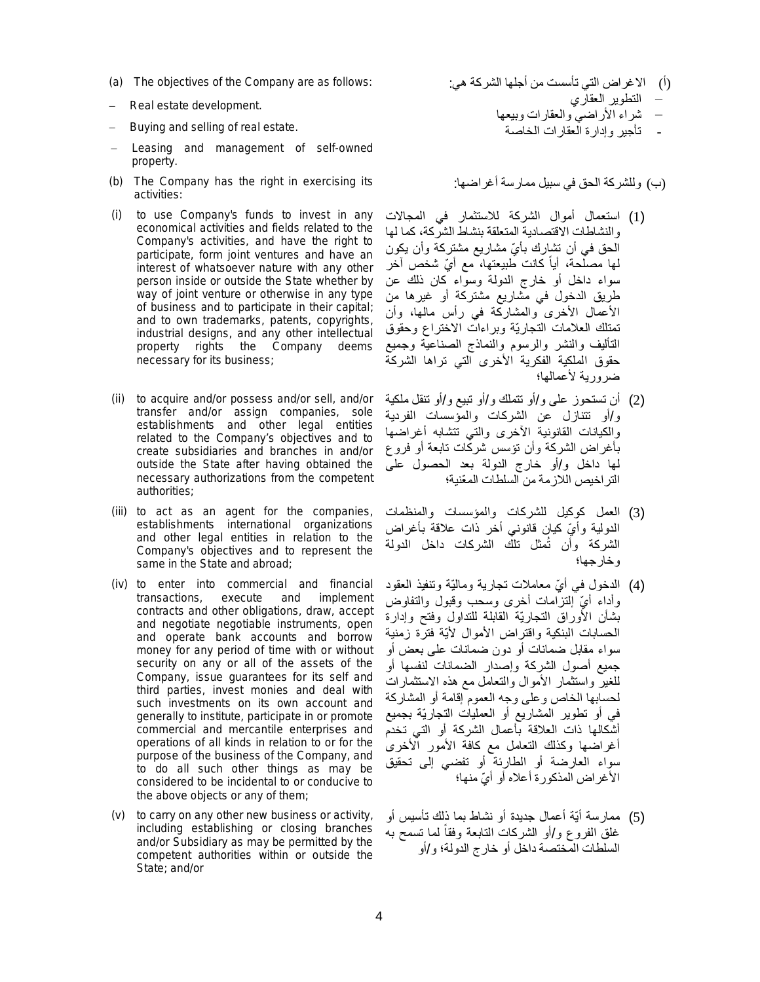- 
- Real estate development.
- Buying and selling of real estate.
- Leasing and management of self-owned property.
- (b) The Company has the right in exercising its activities:
- (i) to use Company's funds to invest in any economical activities and fields related to the Company's activities, and have the right to participate, form joint ventures and have an interest of whatsoever nature with any other person inside or outside the State whether by way of joint venture or otherwise in any type of business and to participate in their capital; and to own trademarks, patents, copyrights, industrial designs, and any other intellectual property rights the Company deems necessary for its business;
- (ii) to acquire and/or possess and/or sell, and/or transfer and/or assign companies, sole establishments and other legal entities related to the Company's objectives and to create subsidiaries and branches in and/or outside the State after having obtained the necessary authorizations from the competent authorities;
- (iii) to act as an agent for the companies, establishments international organizations and other legal entities in relation to the Company's objectives and to represent the same in the State and abroad;
- (iv) to enter into commercial and financial transactions, execute and implement contracts and other obligations, draw, accept and negotiate negotiable instruments, open and operate bank accounts and borrow money for any period of time with or without security on any or all of the assets of the Company, issue guarantees for its self and third parties, invest monies and deal with such investments on its own account and generally to institute, participate in or promote commercial and mercantile enterprises and operations of all kinds in relation to or for the purpose of the business of the Company, and to do all such other things as may be considered to be incidental to or conducive to the above objects or any of them;
- (v) to carry on any other new business or activity, including establishing or closing branches and/or Subsidiary as may be permitted by the competent authorities within or outside the State; and/or
- (a) The objectives of the Company are as follows: :ھي الشركة أجلھا من تأسست التي الاغراض) أ( − التطویر العقاري
	- − شراء الأراضي والعقارات وبیعھا - تأجیر وإدارة العقارات الخاصة
	- (ب) وللشركة الحق في سبیل ممارسة أغراضھا:
	- (1) استعمال أموال الشركة للاستثمار في المجالات والنشاطات الاقتصادیة المتعلقة بنشاط الشركة، كما لھا الحق في أن تشارك بأيّ مشاریع مشتركة وأن یكون لمها مصلّحة، أياً كانت طبيعتها، مع أيّ شخص آخر سواء داخل أو خارج الدولة وسواء كان ذلك عن طریق الدخول في مشاریع مشتركة أو غیرھا من الأعمال الأخرى والمشاركة في رأس مالھا، وأن تمتلك العلامات التجاریّة وبراءات الاختراع وحقوق التألیف والنشر والرسوم والنماذج الصناعیة وجمیع حقوق الملكیة الفكریة الأخرى التي تراھا الشركة ضروریة لأعمالھا؛
	- (2) أن تستحوز على و/أو تتملك و/أو تبیع و/أو تنقل ملكیة و/أو تتنازل عن الشركات والمؤسسات الفردیة والكیانات القانونیة الآخرى والتي تتشابھ أغراضھا بأغراض الشركة وأن تؤسس شركات تابعة أو فروع لھا داخل و/أو خارج الدولة بعد الحصول على التراخیص اللازمة من السلطات المّعنیة؛
	- (3) العمل كوكیل للشركات والمؤسسات والمنظمات الدولیة وأيّ كیان قانونی أخر ذات علاقة بأغراض الشركة وأن تُمثل تلك الشركات داخل الدولة وخارجھا؛
	- (4) الدخول فـي أيّ معاملات تجاریـة ومالیّة وتنفیذ الـعقود وأداء أيّ إلتزامات أخرى وسحب وقبول والتفاوض بشأن الأوراق التجاریّة القابلة للتداول وفتح وإدارة الحسابات البنكیة واقتراض الأموال لأیّة فترة زمنیة سواء مقابل ضمانات أو دون ضمانات على بعض أو جمیع أصول الشركة وإصدار الضمانات لنفسھا أو للغیر واستثمار الأموال والتعامل مع ھذه الاستثمارات لحسابھا الخاص وعلى وجھ العموم إقامة أو المشاركة في أو تطویر المشاریع أو العملیات التجاریّة بجمیع أشكالھا ذات العلاقة بأعمال الشركة أو التي تخدم أغراضھا وكذلك التعامل مع كافة الأمور الأخرى سواء العارضة أو الطارئة أو تفضي إلى تحقیق الأغراض المذكورة أعلاه أو أيّ منها؛
	- (5) ممارسة أیّة أعمال جدیدة أو نشاط بما ذلك تأسیس أو غلق الفروع و/أو الشركات التابعة وفقا لما تسمح به ً السلطات المختصة داخل أو خارج الدولة؛ و/أو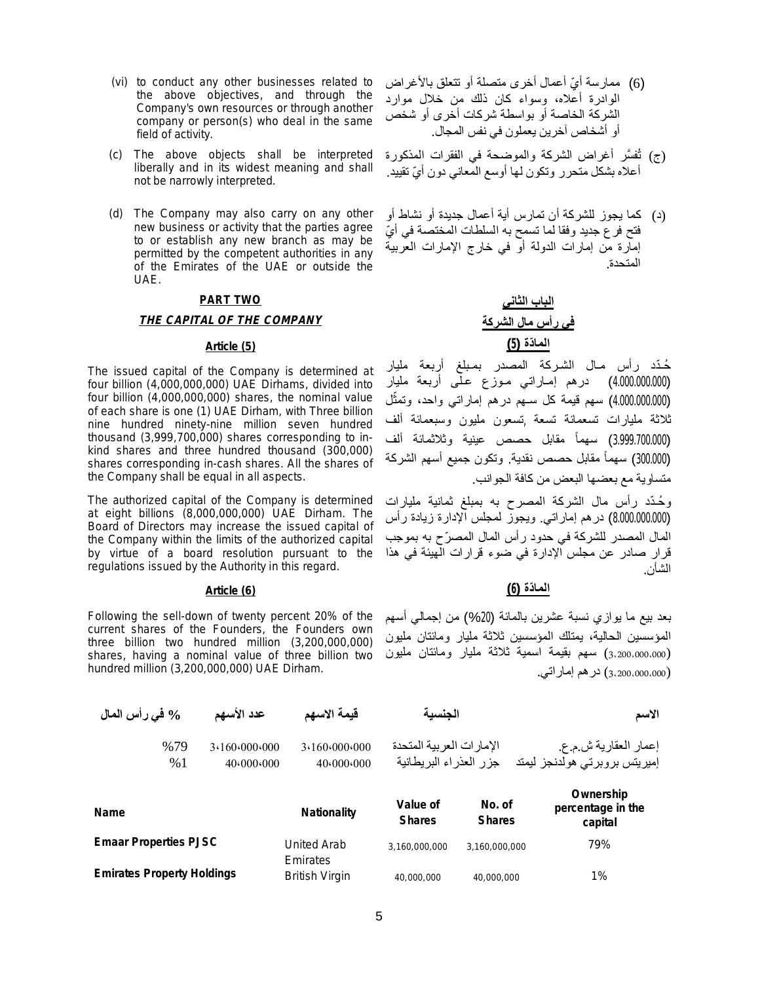- (vi) to conduct any other businesses related to the above objectives, and through the Company's own resources or through another company or person(s) who deal in the same field of activity.
- (c) The above objects shall be interpreted liberally and in its widest meaning and shall not be narrowly interpreted.
- (d) The Company may also carry on any other new business or activity that the parties agree to or establish any new branch as may be permitted by the competent authorities in any of the Emirates of the UAE or outside the UAE.

### **PART TWO**

### *THE CAPITAL OF THE COMPANY*

### **الما ّدة (5) (5) Article**

The issued capital of the Company is determined at four billion (4,000,000,000) UAE Dirhams, divided into four billion (4,000,000,000) shares, the nominal value of each share is one (1) UAE Dirham, with Three billion nine hundred ninety-nine million seven hundred thousand (3,999,700,000) shares corresponding to inkind shares and three hundred thousand (300,000) shares corresponding in-cash shares. All the shares of the Company shall be equal in all aspects.

The authorized capital of the Company is determined at eight billions (8,000,000,000) UAE Dirham. The Board of Directors may increase the issued capital of the Company within the limits of the authorized capital by virtue of a board resolution pursuant to the regulations issued by the Authority in this regard.

Following the sell-down of twenty percent 20% of the current shares of the Founders, the Founders own three billion two hundred million (3,200,000,000) shares, having a nominal value of three billion two hundred million (3,200,000,000) UAE Dirham.

- (6) ممارسة أيّ أعمال أخرى متصلة أو تتعلق بالأغراض الوادرة أعلاه، وسواء كان ذلك من خلال موارد الشركة الخاصة أو بواسطة شركات أخرى أو شخص أو أشخاص آخرین یعملون في نفس المجال.
- (ج) تُف َّسر أغراض الشركة والموضحة في الفقرات المذكورة أعلاه بشكل متحرر وتكون لها أوسع المعاني دون أيّ تقييد.
- (د) كما یجوز للشركة أن تمارس أیة أعمال جدیدة أو نشاط أو فتح فر ع جدید وفقا لما تسمح به السلطات المختصة في أيّ إمارة من إمارات الدولة أو في خارج الإمارات العربیة المتحدة.

**الباب الثاني في رأس مال الشركة**

ُحـّدد رأس مـال الشـركة المصدر بمـبلغ أربعة ملیار (4.000.000.000) درھم إمـاراتي مـوزع عـلى أربعة ملیار (4.000.000.000) سھم قیمة كل سـھم درھم إماراتي واحد، و ل تمث ֧֪֦֪֦֧֟֟֟֟֟֟֟֟֟֟֟֟֟֟֟֟֟֟֟֟֟֟֟֟֟֟֟֟֟֟֟֟֟֟֟ ثلاثة ملیارات تسعمائة تسعة ,تسعون ملیون وسبعمائة ألف (3.999.700.000) سھماً مقابل حصص عینیة وثلاثمائة ألف (300.000) سھماً مقابل حصص نقدیة. وتكون جمیع أسھم الشركة متساویة مع بعضھا البعض من كافة الجوانب.

و ُحـ ّدد رأس مال الشركة المصرح بھ بمبلغ ثمانیة ملیارات (8.000.000.000) درھم إماراتي. ویجوز لمجلس الإدارة زیادة رأس المال المصدر للشركة في حدود رأس المال المص ّرح بھ بموجب قرار صادر عن مجلس الإدارة في ضوء قرارات الھیئة في ھذا الشأن.

# **الما ّدة (6) (6) Article**

بعد بیع ما یوازي نسبة عشرین بالمائة (%20) من إجمالي أسھم المؤسسین الحالیة، یمتلك المؤسسین ثلاثة ملیار ومائتان ملیون (3،200،000،000) سھم بقیمة اسمیة ثلاثة ملیار ومائتان ملیون (3،200،000،000) درھم إماراتي.

| % في رأس المال                    |           | عدد الأسهم                 | قيمة الاسهم                       | الجنسبة                                              |                         | الاسم                                                  |
|-----------------------------------|-----------|----------------------------|-----------------------------------|------------------------------------------------------|-------------------------|--------------------------------------------------------|
|                                   | %79<br>%1 | 3.160.000.000<br>40.000000 | 3.160.000.000<br>40.000.000       | الإمار ات العر بية المتحدة<br>جزر العذراء البريطانية |                         | إعمار العقارية ش.م.ع.<br>إميريتس بروبرتي هولدنجز ليمتد |
| <b>Name</b>                       |           |                            | <b>Nationality</b>                | Value of<br><b>Shares</b>                            | No. of<br><b>Shares</b> | Ownership<br>percentage in the<br>capital              |
| <b>Emaar Properties PJSC</b>      |           |                            | United Arab                       | 3.160.000.000                                        | 3.160.000.000           | 79%                                                    |
| <b>Emirates Property Holdings</b> |           |                            | Emirates<br><b>British Virgin</b> | 40,000,000                                           | 40,000,000              | 1%                                                     |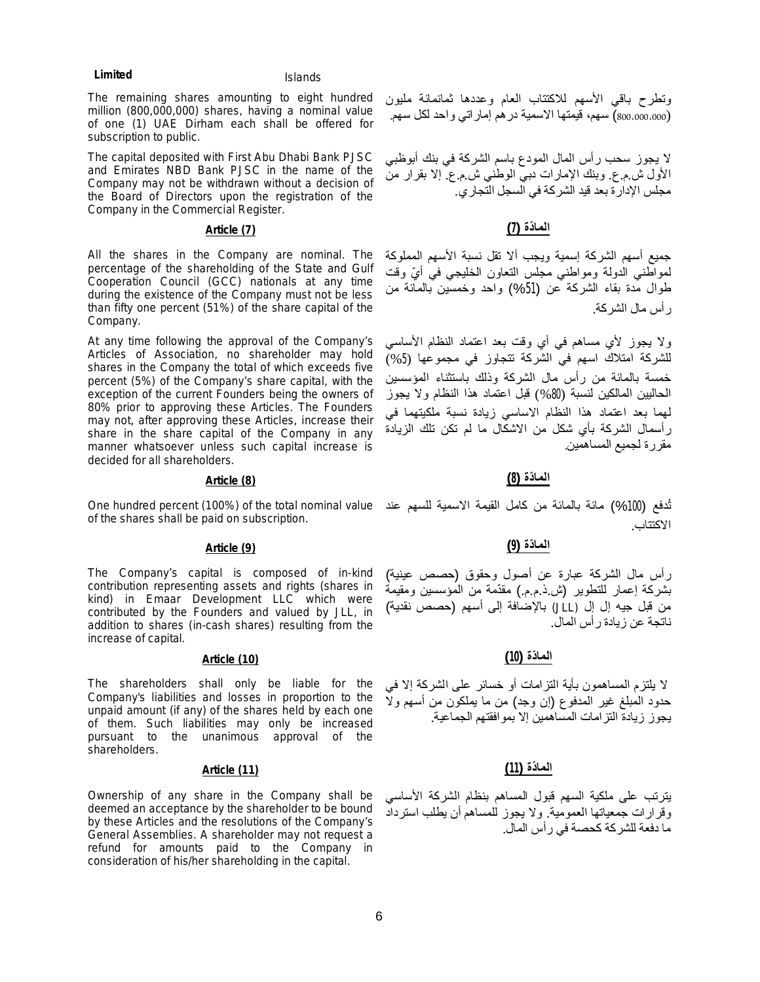The remaining shares amounting to eight hundred million (800,000,000) shares, having a nominal value of one (1) UAE Dirham each shall be offered for subscription to public.

The capital deposited with First Abu Dhabi Bank PJSC and Emirates NBD Bank PJSC in the name of the Company may not be withdrawn without a decision of the Board of Directors upon the registration of the Company in the Commercial Register.

All the shares in the Company are nominal. The percentage of the shareholding of the State and Gulf Cooperation Council (GCC) nationals at any time during the existence of the Company must not be less than fifty one percent (51%) of the share capital of the Company.

At any time following the approval of the Company's Articles of Association, no shareholder may hold shares in the Company the total of which exceeds five percent (5%) of the Company's share capital, with the exception of the current Founders being the owners of 80% prior to approving these Articles. The Founders may not, after approving these Articles, increase their share in the share capital of the Company in any manner whatsoever unless such capital increase is decided for all shareholders.

# **الما ّدة (8) (8) Article**

of the shares shall be paid on subscription.

The Company's capital is composed of in-kind contribution representing assets and rights (shares in kind) in Emaar Development LLC which were contributed by the Founders and valued by JLL, in addition to shares (in-cash shares) resulting from the increase of capital.

# **الما ّدة (10) (10) Article**

The shareholders shall only be liable for the Company's liabilities and losses in proportion to the unpaid amount (if any) of the shares held by each one of them. Such liabilities may only be increased pursuant to the unanimous approval of the shareholders.

# **الما ّدة (11) (11) Article**

Ownership of any share in the Company shall be deemed an acceptance by the shareholder to be bound by these Articles and the resolutions of the Company's General Assemblies. A shareholder may not request a refund for amounts paid to the Company in consideration of his/her shareholding in the capital.

وتطرح باقي الأسھم للاكتتاب العام وعددھا ثمانمائة ملیون (800،000،000) سھم، قیمتھا الاسمیة درھم إماراتي واحد لكل سھم.

لا یجوز سحب رأس المال المودع باسم الشركة في بنك أبوظبي الأول ش.م.ع. وبنك الإمارات دبي الوطني ش.م.ع. إلا بقرار من مجلس الإدارة بعد قید الشركة في السجل التجاري.

# **الما ّدة (7) (7) Article**

جمیع أسھم الشركة إسمیة ویجب ألا تقل نسبة الأسھم المملوكة لمواطني الدولة ومواطني مجلس النعاون الخليجي في أيّ وقت طوال مدة بقاء الشركة عن (%51) واحد وخمسین بالمائة من رأس مال الشركة.

ولا یجوز لأي مساھم في أي وقت بعد اعتماد النظام الأساسي للشركة امتلاك اسھم في الشركة تتجاوز في مجموعھا (%5) خمسة بالمائة من رأس مال الشركة وذلك باستثناء المؤسسین الحالیین المالكین لنسبة (%80) قبل اعتماد ھذا النظام ولا یجوز لھما بعد اعتماد ھذا النظام الاساسي زیادة نسبة ملكیتھما في رأسمال الشركة بأي شكل من الاشكال ما لم تكن تلك الزیادة مقررة لجمیع المساھمین.

One hundred percent (100%) of the total nominal value تُدفع (%100) مائة بالمائة من كامل القیمة الاسمیة للسھم عند الاكتتاب.

# **الما ّدة (9) (9) Article**

رأس مال الشركة عبارة عن أصول وحقوق (حصص عینیة) بشركة إعمار للتطویر (ش.ذ.م.م.) مقّدمة من المؤسسین ومقیمة من قبل جیھ إل إل (JLL (بالإضافة إلى أسھم (حصص نقدیة) ناتجة عن زیادة رأس المال.

لا یلتزم المساھمون بأیة التزامات أو خسائر على الشركة إلا في حدود المبلغ غیر المدفوع (إن وجد) من ما یملكون من أسھم ولا یجوز زیادة التزامات المساھمین إلا بموافقتھم الجماعیة.

یترتب على ملكیة السھم قبول المساھم بنظام الشركة الأساسي وقرارات جمعیاتھا العمومیة. ولا یجوز للمساھم أن یطلب استرداد ما دفعة للشركة كحصة في رأس المال.

### **Limited** Islands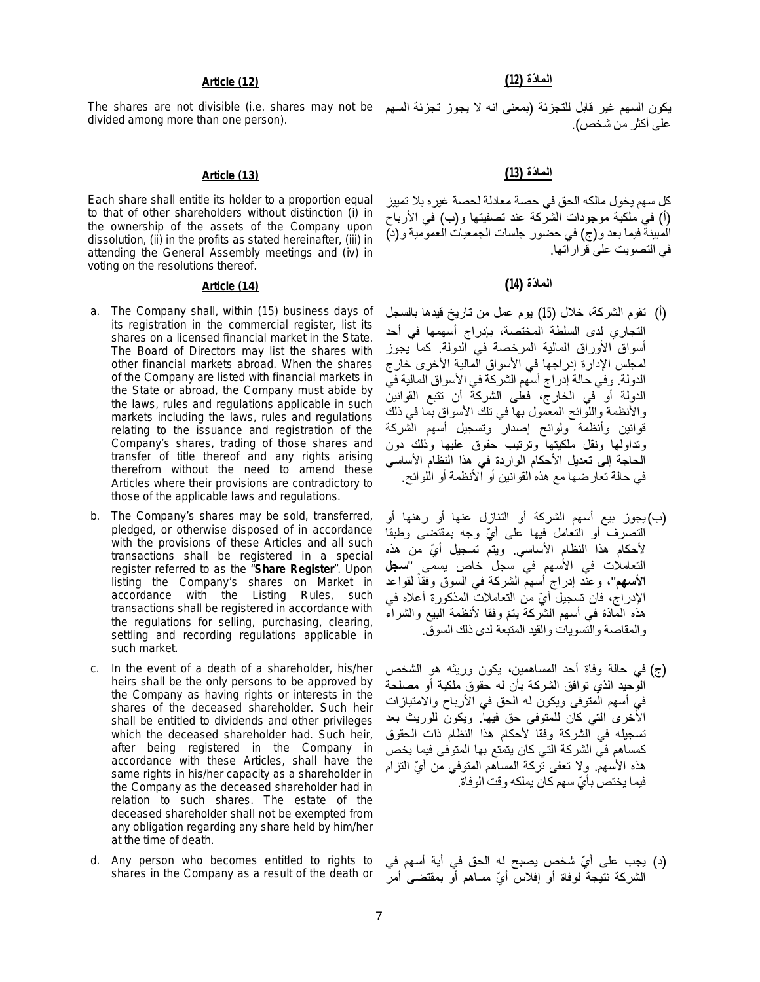# **الما ّدة (13) (13) Article**

Each share shall entitle its holder to a proportion equal to that of other shareholders without distinction (i) in the ownership of the assets of the Company upon dissolution, (ii) in the profits as stated hereinafter, (iii) in attending the General Assembly meetings and (iv) in voting on the resolutions thereof.

- a. The Company shall, within (15) business days of its registration in the commercial register, list its shares on a licensed financial market in the State. The Board of Directors may list the shares with other financial markets abroad. When the shares of the Company are listed with financial markets in the State or abroad, the Company must abide by the laws, rules and regulations applicable in such markets including the laws, rules and regulations relating to the issuance and registration of the Company's shares, trading of those shares and transfer of title thereof and any rights arising therefrom without the need to amend these Articles where their provisions are contradictory to those of the applicable laws and regulations.
- b. The Company's shares may be sold, transferred, pledged, or otherwise disposed of in accordance with the provisions of these Articles and all such transactions shall be registered in a special register referred to as the "**Share Register**". Upon listing the Company's shares on Market in accordance with the Listing Rules, such transactions shall be registered in accordance with the regulations for selling, purchasing, clearing, settling and recording regulations applicable in such market.
- c. In the event of a death of a shareholder, his/her heirs shall be the only persons to be approved by the Company as having rights or interests in the shares of the deceased shareholder. Such heir shall be entitled to dividends and other privileges which the deceased shareholder had. Such heir, after being registered in the Company in accordance with these Articles, shall have the same rights in his/her capacity as a shareholder in the Company as the deceased shareholder had in relation to such shares. The estate of the deceased shareholder shall not be exempted from any obligation regarding any share held by him/her at the time of death.
- d. Any person who becomes entitled to rights to shares in the Company as a result of the death or

على أكثر من شخص).

كل سھم یخول مالكھ الحق في حصة معادلة لحصة غیره بلا تمییز (أ) في ملكیة موجودات الشركة عند تصفیتھا و(ب) في الأرباح المبینة فیما بعد و(ج) في حضور جلسات الجمعیات العمومیة و(د) في التصویت على قراراتھا.

# **الما ّدة (14) (14) Article**

- (أ) تقوم الشركة، خلال (15) یوم عمل من تاریخ قیدھا بالسجل التجاري لدى السلطة المختصة، بإدراج أسھمھا في أحد أسواق الأوراق المالیة المرخصة في الدولة. كما یجوز لمجلس الإدارة إدراجھا في الأسواق المالیة الأخرى خارج الدولة. وفي حالة إدراج أسھم الشركة في الأسواق المالیة في الدولة أو في الخارج، فعلى الشركة أن تتبع القوانین والأنظمة واللوائح المعمول بھا في تلك الأسواق بما في ذلك قوانین وأنظمة ولوائح إصدار وتسجیل أسھم الشركة وتداولھا ونقل ملكیتھا وترتیب حقوق علیھا وذلك دون الحاجة إلى تعدیل الأحكام الواردة في ھذا النظام الأساسي في حالة تعارضھا مع ھذه القوانین أو الأنظمة أو اللوائح.
- (ب)یجوز بیع أسھم الشركة أو التنازل عنھا أو رھنھا أو التصّرف أو التعامل فیھا على أيّ وجه بمقتضى وطبقا لأحكام هذا النظام الأساسي. ویتم تسجیل أيّ من هذه التعاملات في الأسھم في سجل خاص یسمى "**سجل الأسهم"،** وعنْد إدراج أسهم الشركة في السوق وفقاً لقواعد الإدراج، فان تسجيل أيّ من التعاملات المذكورة أعلاه في هذه المادّة في أسهم الشركة بتمَ وفقا لأنظمة البيع والشراء والمقاصة والتسویات والقید المتبعة لدى ذلك السوق.
- (ج) في حالة وفاة أحد المساھمین، یكون وریثھ ھو الشخص الوحید الذي توافق الشركة بأن لھ حقوق ملكیة أو مصلحة في أسھم المتوفى ویكون لھ الحق في الأرباح والامتیازات الأخرى التي كان للمتوفى حق فیھا. ویكون للوریث بعد تسجیلھ في الشركة وفقا لأحكام ھذا النظام ذات الحقوق كمساھم في الشركة التي كان یتمتع بھا المتوفى فیما یخص هذه الأسهم. ولا تعفى تُركة المساهم المتوفى من أيّ التزام فیما یختص بأيّ سهم كان یملكه وقت الوفاة.
- (د) یجب علی أيّ شخص یصبح له الحق في أیة أسهم في الشركة نتیجة لوفاة أو إفلاس أيّ مساهم أو بمقتضى أمر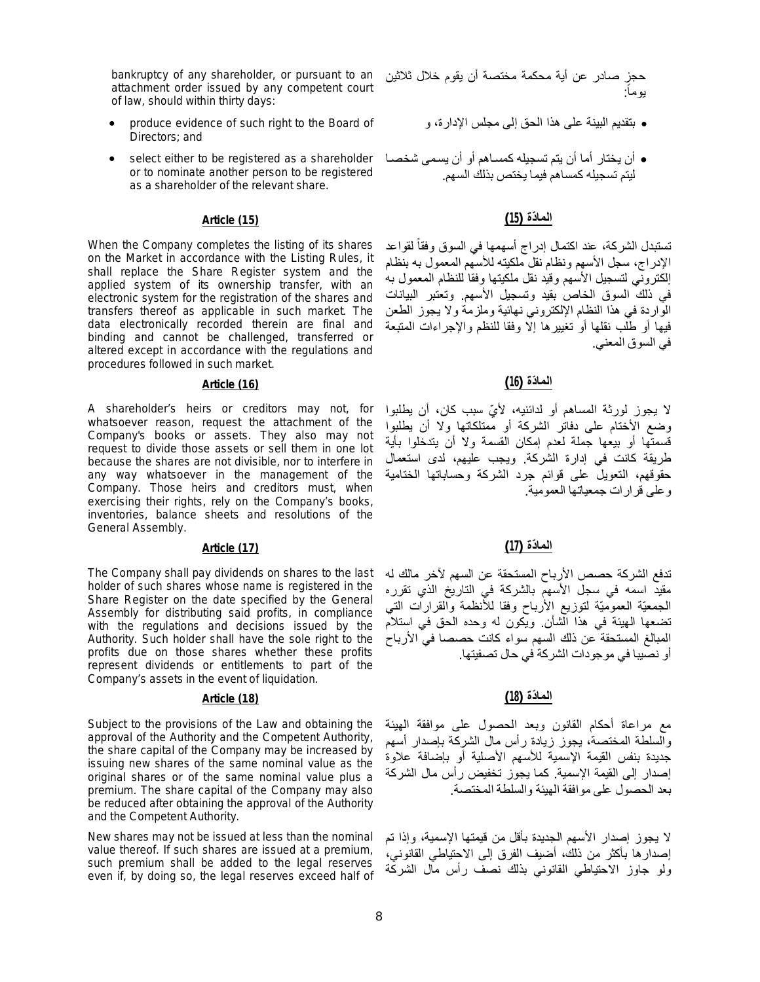bankruptcy of any shareholder, or pursuant to an attachment order issued by any competent court of law, should within thirty days:

- produce evidence of such right to the Board of Directors; and
- أن يختار أما أن يتم تسجيله كمسـاهم أو أن يسمى شخصـا select either to be registered as a shareholder or to nominate another person to be registered as a shareholder of the relevant share.

When the Company completes the listing of its shares on the Market in accordance with the Listing Rules, it shall replace the Share Register system and the applied system of its ownership transfer, with an electronic system for the registration of the shares and transfers thereof as applicable in such market. The data electronically recorded therein are final and binding and cannot be challenged, transferred or altered except in accordance with the regulations and procedures followed in such market.

# **الما ّدة (16) (16) Article**

A shareholder's heirs or creditors may not, for whatsoever reason, request the attachment of the Company's books or assets. They also may not request to divide those assets or sell them in one lot because the shares are not divisible, nor to interfere in any way whatsoever in the management of the Company. Those heirs and creditors must, when exercising their rights, rely on the Company's books, inventories, balance sheets and resolutions of the General Assembly.

# **الما ّدة (17) (17) Article**

The Company shall pay dividends on shares to the last holder of such shares whose name is registered in the Share Register on the date specified by the General Assembly for distributing said profits, in compliance with the regulations and decisions issued by the Authority. Such holder shall have the sole right to the profits due on those shares whether these profits represent dividends or entitlements to part of the Company's assets in the event of liquidation.

# **الما ّدة (18) (18) Article**

Subject to the provisions of the Law and obtaining the approval of the Authority and the Competent Authority, the share capital of the Company may be increased by issuing new shares of the same nominal value as the original shares or of the same nominal value plus a premium. The share capital of the Company may also be reduced after obtaining the approval of the Authority and the Competent Authority.

New shares may not be issued at less than the nominal value thereof. If such shares are issued at a premium, such premium shall be added to the legal reserves even if, by doing so, the legal reserves exceed half of

حجز صادر عن أیة محكمة مختصة أن یقوم خلال ثلاثین یوماً:

- بتقدیم البینة على ھذا الحق إلى مجلس الإدارة، و
- لیتم تسجیلھ كمساھم فیما یختص بذلك السھم.

# **الما ّدة (15) (15) Article**

تستبدل الشركة، عند اكتمال إدراج أسهمها في السوق وفقا لقواعد ً الإدراج، سجل الأسھم ونظام نقل ملكیتھ للأسھم المعمول بھ بنظام إلكتروني لتسجیل الأسھم وقید نقل ملكیتھا وفقا للنظام المعمول بھ في ذلك السوق الخاص بقید وتسجیل الأسھم. وتعتبر البیانات الواردة في ھذا النظام الإلكتروني نھائیة وملزمة ولا یجوز الطعن فیھا أو طلب نقلھا أو تغییرھا إلا وفقا للنظم والإجراءات المتبعة في السوق المعني.

لا یجوز لورثة المساھم أو لدائنیھ، لأ ّي سبب كان، أن یطلبوا وضع الأختام على دفاتر الشركة أو ممتلكاتھا ولا أن یطلبوا قسمتھا أو بیعھا جملة لعدم إمكان القسمة ولا أن یتدخلوا بأیة طریقة كانت في إدارة الشركة. ویجب علیھم، لدى استعمال حقوقھم، التعویل على قوائم جرد الشركة وحساباتھا الختامیة وعلى قرارات جمعیاتھا العمومیة.

تدفع الشركة حصص الأرباح المستحقة عن السھم لآخر مالك لھ مقید اسمھ في سجل الأسھم بالشركة في التاریخ الذي تقرره الجمعیّة العمومیّة لتوزیع الأرباح وفقا للأنظمة والقرارات التي تضعھا الھیئة في ھذا الشأن. ویكون لھ وحده الحق في استلام المبالغ المستحقة عن ذلك السھم سواء كانت حصصا في الأرباح أو نصیبا في موجودات الشركة في حال تصفیتھا.

مع مراعاة أحكام القانون وبعد الحصول على موافقة الھیئة والسلطة المختصة، یجوز زیادة رأس مال الشركة بإصدار أسھم جدیدة بنفس القیمة الإسمیة للأسھم الأصلیة أو بإضافة علاوة إصدار إلى القیمة الإسمیة. كما یجوز تخفیض رأس مال الشركة بعد الحصول على موافقة الھیئة والسلطة المختصة.

لا یجوز إصدار الأسھم الجدیدة بأقل من قیمتھا الإسمیة، وإذا تم إصدارھا بأكثر من ذلك، أضیف الفرق إلى الاحتیاطي القانوني، ولو جاوز الاحتیاطي القانوني بذلك نصف رأس مال الشركة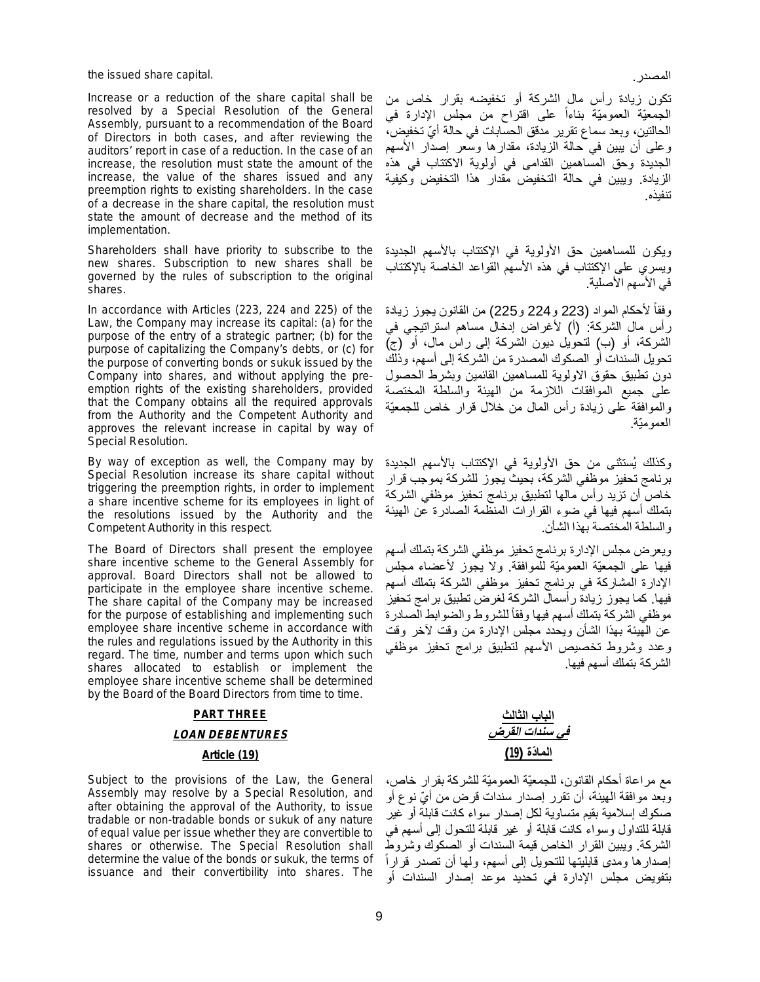the issued share capital. .المصدر

Increase or a reduction of the share capital shall be resolved by a Special Resolution of the General Assembly, pursuant to a recommendation of the Board of Directors in both cases, and after reviewing the auditors' report in case of a reduction. In the case of an increase, the resolution must state the amount of the increase, the value of the shares issued and any preemption rights to existing shareholders. In the case of a decrease in the share capital, the resolution must state the amount of decrease and the method of its implementation.

Shareholders shall have priority to subscribe to the new shares. Subscription to new shares shall be governed by the rules of subscription to the original shares.

In accordance with Articles (223, 224 and 225) of the Law, the Company may increase its capital: (a) for the purpose of the entry of a strategic partner; (b) for the purpose of capitalizing the Company's debts, or (c) for the purpose of converting bonds or sukuk issued by the Company into shares, and without applying the preemption rights of the existing shareholders, provided that the Company obtains all the required approvals from the Authority and the Competent Authority and approves the relevant increase in capital by way of Special Resolution.

By way of exception as well, the Company may by Special Resolution increase its share capital without triggering the preemption rights, in order to implement a share incentive scheme for its employees in light of the resolutions issued by the Authority and the Competent Authority in this respect.

The Board of Directors shall present the employee share incentive scheme to the General Assembly for approval. Board Directors shall not be allowed to participate in the employee share incentive scheme. The share capital of the Company may be increased for the purpose of establishing and implementing such employee share incentive scheme in accordance with the rules and regulations issued by the Authority in this regard. The time, number and terms upon which such shares allocated to establish or implement the employee share incentive scheme shall be determined by the Board of the Board Directors from time to time.

# **PART THREE** *LOAN DEBENTURES*

Subject to the provisions of the Law, the General Assembly may resolve by a Special Resolution, and after obtaining the approval of the Authority, to issue tradable or non-tradable bonds or sukuk of any nature of equal value per issue whether they are convertible to shares or otherwise. The Special Resolution shall determine the value of the bonds or sukuk, the terms of issuance and their convertibility into shares. The

تكون زیادة رأس مال الشركة أو تخفیضھ بقرار خاص من الجمعيّة العموميّة بناءاً على اقتراح من مجلس الإدارة في الحالتین، وبعد سماع تقریر مدقق الحسابات في حالة أيّ تخفيض، وعلى أن یبین في حالة الزیادة، مقدارھا وسعر إصدار الأسھم الجدیدة وحق المساھمین القدامى في أولویة الاكتتاب في ھذه الزیادة. ویبین في حالة التخفیض مقدار ھذا التخفیض وكیفیة تنفیذه.

ویكون للمساھمین حق الأولویة في الإكتتاب بالأسھم الجدیدة ویسري على الإكتتاب في ھذه الأسھم القواعد الخاصة بالإكتتاب في الأسھم الأصلیة.

وفقاً لأحكام المواد (223 و224 و225) من القانون يجوز زيادة رأس مال الشركة: (أ) لأغراض إدخال مساھم استراتیجي في الشركة، أو (ب) لتحویل دیون الشركة إلى راس مال، أو (ج) تحویل السندات أو الصكوك المصدرة من الشركة إلى أسھم، وذلك دون تطبیق حقوق الاولویة للمساھمین القائمین وبشرط الحصول على جمیع الموافقات اللازمة من الھیئة والسلطة المختصة والموافقة على زیادة رأس المال من خلال قرار خاص للجمعیّة العمومیّة.

وكذلك یُستثنى من حق الأولویة في الإكتتاب بالأسھم الجدیدة برنامج تحفیز موظفي الشركة، بحیث یجوز للشركة بموجب قرار خاص أن تزید رأس مالھا لتطبیق برنامج تحفیز موظفي الشركة بتملك أسھم فیھا في ضوء القرارات المنظمة الصادرة عن الھیئة والسلطة المختصة بھذا الشأن.

ویعرض مجلس الإدارة برنامج تحفیز موظفي الشركة بتملك أسھم فیھا على الجمعیّة العمومیّة للموافقة. ولا یجوز لأعضاء مجلس الإدارة المشاركة في برنامج تحفیز موظفي الشركة بتملك أسھم فیھا. كما یجوز زیادة رأسمال الشركة لغرض تطبیق برامج تحفیز موظفي الشركة بتملك أسهم فيها وفقاً للشروط والضوابط الصـادرة عن الھیئة بھذا الشأن ویحدد مجلس الإدارة من وقت لآخر وقت وعدد وشروط تخصیص الأسھم لتطبیق برامج تحفیز موظفي الشركة بتملك أسھم فیھا.

**الباب الثالث** *في سندات القرض* **الما ّدة (19) (19) Article**

> مع مراعاة أحكام القانون، للجمعیّة العمومیّة للشركة بقرار خاص، وبعد موافقة الـهيئة، أن تقرر إصدار سندات قرض من أيّ نوع أو صكوك إسلامیة بقیم متساویة لكل إصدار سواء كانت قابلة أو غیر قابلة للتداول وسواء كانت قابلة أو غیر قابلة للتحول إلى أسھم في الشركة. ویبین القرار الخاص قیمة السندات أو الصكوك وشروط إصدارھا ومدى قابلیتھا للتحویل إلى أسھم، ولھا أن تصدر قرارا ً بتفویض مجلس الإدارة في تحدید موعد إصدار السندات أو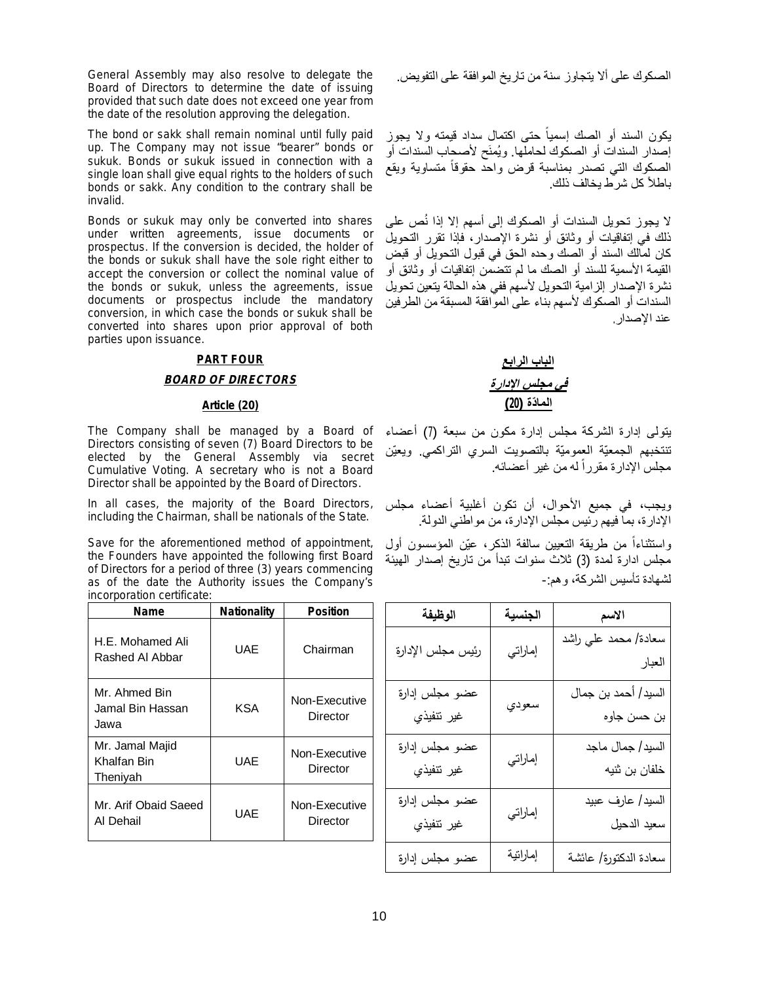General Assembly may also resolve to delegate the Board of Directors to determine the date of issuing provided that such date does not exceed one year from the date of the resolution approving the delegation.

The bond or sakk shall remain nominal until fully paid up. The Company may not issue "bearer" bonds or sukuk. Bonds or sukuk issued in connection with a single loan shall give equal rights to the holders of such bonds or sakk. Any condition to the contrary shall be invalid.

Bonds or sukuk may only be converted into shares under written agreements, issue documents or prospectus. If the conversion is decided, the holder of the bonds or sukuk shall have the sole right either to accept the conversion or collect the nominal value of the bonds or sukuk, unless the agreements, issue documents or prospectus include the mandatory conversion, in which case the bonds or sukuk shall be converted into shares upon prior approval of both parties upon issuance.

### **PART FOUR**

### *BOARD OF DIRECTORS*

The Company shall be managed by a Board of Directors consisting of seven (7) Board Directors to be elected by the General Assembly via secret Cumulative Voting. A secretary who is not a Board Director shall be appointed by the Board of Directors.

In all cases, the majority of the Board Directors, including the Chairman, shall be nationals of the State.

Save for the aforementioned method of appointment, the Founders have appointed the following first Board of Directors for a period of three (3) years commencing as of the date the Authority issues the Company's incorporation certificate:

| Name                                       | <b>Nationality</b> | <b>Position</b>           |
|--------------------------------------------|--------------------|---------------------------|
| H.E. Mohamed Ali<br>Rashed Al Abbar        | UAE                | Chairman                  |
| Mr. Ahmed Bin<br>Jamal Bin Hassan<br>Jawa  | KSA                | Non-Executive<br>Director |
| Mr. Jamal Majid<br>Khalfan Bin<br>Thenivah | UAE                | Non-Executive<br>Director |
| Mr. Arif Obaid Saeed<br>Al Dehail          | UAE                | Non-Executive<br>Director |

الصكوك على ألا یتجاوز سنة من تاریخ الموافقة على التفویض.

یكون السند أو الصك إ سمیا حتى اكتمال سداد قیمتھ ولا یجوز ً إصدار السندات أو الصكوك لحاملھا. ویُمنَح لأصحاب السندات أو الصكوك التي تصدر بمناسبة قرض واحد حقوقا متساویة ویقع ً باطلاً كل شرط یخالف ذلك.

لا یجوز تحویل السندات أو الصكوك إلى أسھم إلا إذا نُص على ذلك في إتفاقیات أو وثائق أو نشرة الإصدار، فإذا تقرر التحویل كان لمالك السند أو الصك وحده الحق في قبول التحویل أو قبض القیمة الأسمیة للسند أو الصك ما لم تتضمن إتفاقیات أو وثائق أو نشرة الإصدار إلزامیة التحویل لأسھم ففي ھذه الحالة یتعین تحویل السندات أو الصكوك لأسھم بناء على الموافقة المسبقة من الطرفین عند الإصدار.

# **الباب الرابع** *في مجلس الإدارة* **الما ّدة (20) (20) Article**

یتولى إدارة الشركة مجلس إدارة مكون من سبعة (7) أعضاء تنتخبھم الجمعیّة العمومیّة بالتصویت السري التراكمي. ویعیّن مجلس الإدارة مقررا له من غیر أعضائه. ً

ویجب، في جمیع الأحوال، أن تكون أغلبیة أعضاء مجلس الإدارة، بما فیھم رئیس مجلس الإدارة، من مواطني الدولة.

واستثناءاً من طريقة النعيين سالفة الذكر، عيّن المؤسسون أول مجلس ادارة لمدة (3) ثلاث سنوات تبدأ من تاریخ إصدار الھیئة لشھادة تأسیس الشركة، وھم-:

| الوظيفة                      | الجنسية  | الاسم                              |
|------------------------------|----------|------------------------------------|
| رئيس مجلس الإدارة            | إماراتي  | سعادة/ محمد عليي راشد<br>العبار    |
| عضو مجلس إدارة<br>غير تنفيذي | سعودي    | السيد/ أحمد بن جمال<br>بن حسن جاوه |
| عضو مجلس إدارة<br>غير نتفيذي | إماراتي  | السيد/ جمال ماجد<br>خلفان بن ثنيه  |
| عضو مجلس إدارة<br>غير تنفيذي | إماراتي  | السيد/ عارف عبيد<br>سعيد الدحيل    |
| عضو مجلس إدارة               | إماراتية | سعادة الدكتورة/ عائشة              |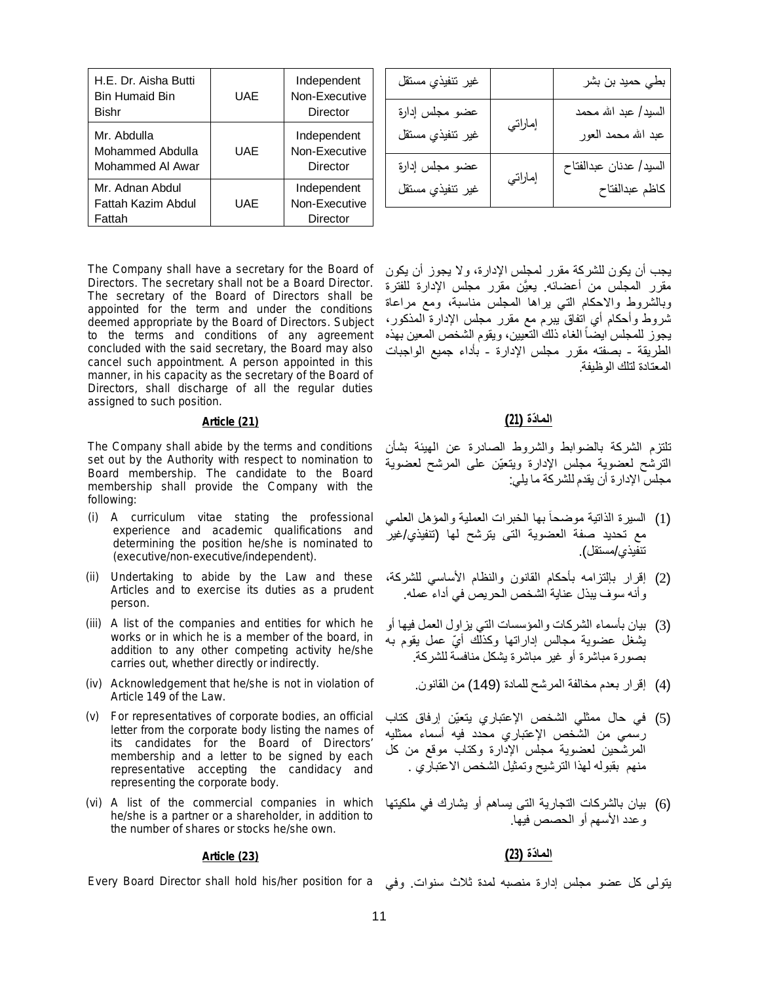| H.E. Dr. Aisha Butti<br><b>Bin Humaid Bin</b><br>Bishr | UAE        | Independent<br>Non-Executive<br>Director |
|--------------------------------------------------------|------------|------------------------------------------|
| Mr. Abdulla<br>Mohammed Abdulla<br>Mohammed AI Awar    | <b>UAE</b> | Independent<br>Non-Executive<br>Director |
| Mr. Adnan Abdul<br>Fattah Kazim Abdul<br>Fattah        | UAE        | Independent<br>Non-Executive<br>Director |

The Company shall have a secretary for the Board of Directors. The secretary shall not be a Board Director. The secretary of the Board of Directors shall be appointed for the term and under the conditions deemed appropriate by the Board of Directors. Subject to the terms and conditions of any agreement concluded with the said secretary, the Board may also cancel such appointment. A person appointed in this manner, in his capacity as the secretary of the Board of Directors, shall discharge of all the regular duties assigned to such position.

# **الما ّدة (21) (21) Article**

The Company shall abide by the terms and conditions set out by the Authority with respect to nomination to Board membership. The candidate to the Board membership shall provide the Company with the following:

- (i) A curriculum vitae stating the professional experience and academic qualifications and determining the position he/she is nominated to (executive/non-executive/independent).
- (ii) Undertaking to abide by the Law and these Articles and to exercise its duties as a prudent person.
- (iii) A list of the companies and entities for which he works or in which he is a member of the board, in addition to any other competing activity he/she carries out, whether directly or indirectly.
- (iv) Acknowledgement that he/she is not in violation of Article 149 of the Law.
- (v) For representatives of corporate bodies, an official letter from the corporate body listing the names of its candidates for the Board of Directors' membership and a letter to be signed by each representative accepting the candidacy and representing the corporate body.
- (vi) A list of the commercial companies in which he/she is a partner or a shareholder, in addition to the number of shares or stocks he/she own.

| غير ننفيذي مسنقل                   |         | بطي حميد بن بشر                             |
|------------------------------------|---------|---------------------------------------------|
| عضو مجلس إدارة<br>غير ننفيذي مسنقل | إماراتي | السيد/ عبد الله محمد<br>عبد الله محمد العور |
| عضو مجلس إدارة<br>غير ننفيذي مسنقل | إماراتي | السيد/ عدنان عبدالفتاح<br>كاظم عبدالفتاح    |

یجب أن یكون للشركة مقرر لمجلس الإدارة، ولا یجوز أن یكون مقرر المجلس من أعضائھ. یعیَّن مقرر مجلس الإدارة للفترة وبالشروط والاحكام التي یراھا المجلس مناسبة، ومع مراعاة شروط وأحكام أي اتفاق یبرم مع مقرر مجلس الإدارة المذكور، يجوز للمجلس ايضـا الغاء ذلك التعيين، ويقوم الشخص المعين بهذه ً الطریقة - بصفتھ مقرر مجلس الإدارة - بأداء جمیع الواجبات المعتادة لتلك الوظیفة.

تلتزم الشركة بالضوابط والشروط الصادرة عن الھیئة بشأن الترشح لعضویة مجلس الإدارة ویتعیّن على المرشح لعضویة مجلس الإدارة أن یقدم للشركة ما یلي:

- (1) السیرة الذاتیة موضحا بھا الخبرات العملیة والمؤھل العلمي ً مع تحدید صفة العضویة التى یترشح لھا (تنفیذي/غیر تنفیذي/مستقل).
- (2) إقرار بإلتزامھ بأحكام القانون والنظام الأساسي للشركة، وأنھ سوف یبذل عنایة الشخص الحریص في أداء عملھ.
- (3) بیان بأسماء الشركات والمؤسسات التي یزاول العمل فیھا أو یشغل عضویة مجالس إداراتها وكذلّك أيّ عمل یقوم به بصورة مباشرة أو غیر مباشرة یشكل منافسة للشركة.
	- (4) إقرار بعدم مخالفة المرشح للمادة (149) من القانون.
- (5) في حال ممثلي الشخص الإعتباري یتعیّن إرفاق كتاب رسمي من الشخص الإعتباري محدد فیھ أسماء ممثلیھ المرشحین لعضویة مجلس الإدارة وكتاب موقع من كل منھم بقبولھ لھذا الترشیح وتمثیل الشخص الاعتباري .
- (6) بیان بالشركات التجاریة التى یساھم أو یشارك في ملكیتھا وعدد الأسھم أو الحصص فیھا.

### **الما ّدة (23) (23) Article**

یتولی كل عضو مجلس إدارة منصبه لمدة ثلاث سنوات. وفي Every Board Director shall hold his/her position for a

11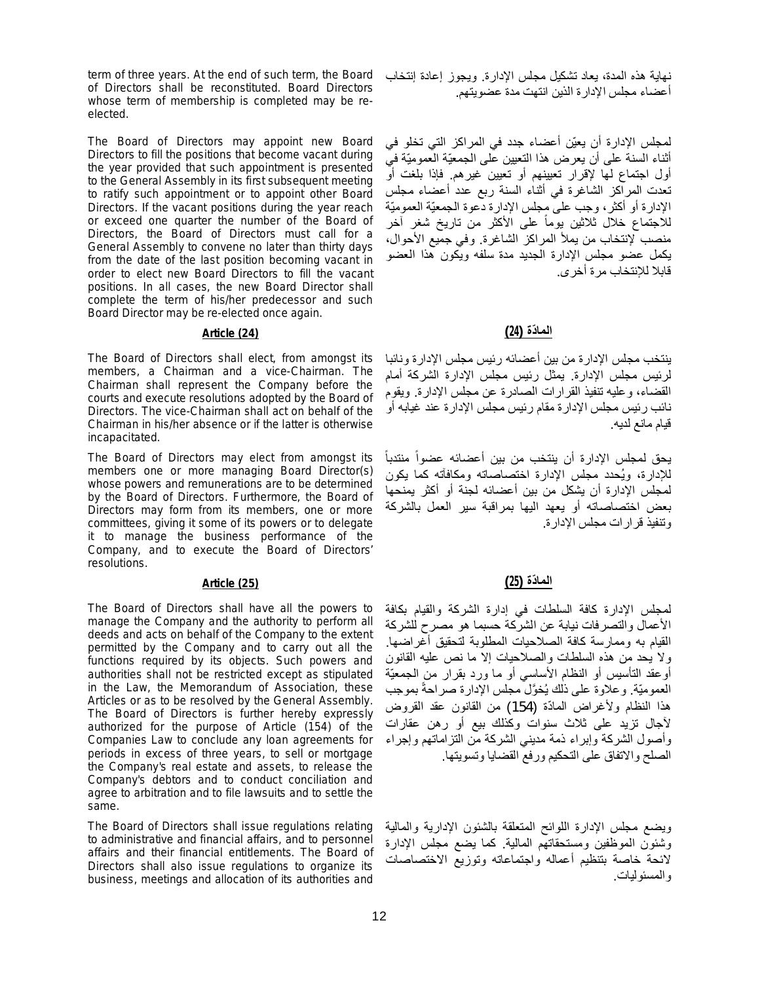term of three years. At the end of such term, the Board of Directors shall be reconstituted. Board Directors whose term of membership is completed may be reelected.

The Board of Directors may appoint new Board Directors to fill the positions that become vacant during the year provided that such appointment is presented to the General Assembly in its first subsequent meeting to ratify such appointment or to appoint other Board Directors. If the vacant positions during the year reach or exceed one quarter the number of the Board of Directors, the Board of Directors must call for a General Assembly to convene no later than thirty days from the date of the last position becoming vacant in order to elect new Board Directors to fill the vacant positions. In all cases, the new Board Director shall complete the term of his/her predecessor and such Board Director may be re-elected once again.

# **الما ّدة (24) (24) Article**

The Board of Directors shall elect, from amongst its members, a Chairman and a vice-Chairman. The Chairman shall represent the Company before the courts and execute resolutions adopted by the Board of Directors. The vice-Chairman shall act on behalf of the Chairman in his/her absence or if the latter is otherwise incapacitated.

The Board of Directors may elect from amongst its members one or more managing Board Director(s) whose powers and remunerations are to be determined by the Board of Directors. Furthermore, the Board of Directors may form from its members, one or more committees, giving it some of its powers or to delegate it to manage the business performance of the Company, and to execute the Board of Directors' resolutions.

The Board of Directors shall have all the powers to manage the Company and the authority to perform all deeds and acts on behalf of the Company to the extent permitted by the Company and to carry out all the functions required by its objects. Such powers and authorities shall not be restricted except as stipulated in the Law, the Memorandum of Association, these Articles or as to be resolved by the General Assembly. The Board of Directors is further hereby expressly authorized for the purpose of Article (154) of the Companies Law to conclude any loan agreements for periods in excess of three years, to sell or mortgage the Company's real estate and assets, to release the Company's debtors and to conduct conciliation and agree to arbitration and to file lawsuits and to settle the same.

The Board of Directors shall issue regulations relating to administrative and financial affairs, and to personnel affairs and their financial entitlements. The Board of Directors shall also issue regulations to organize its business, meetings and allocation of its authorities and

نھایة ھذه المدة، یعاد تشكیل مجلس الإدارة. ویجوز إعادة إنتخاب أعضاء مجلس الإدارة الذین انتھت مدة عضویتھم.

لمجلس الإدارة أن یعیّن أعضاء جدد في المراكز التي تخلو في أثناء السنة على أن یعرض ھذا التعیین على الجمعیّة العمومیّة في أول اجتماع لھا لإقرار تعیینھم أو تعیین غیرھم. فإذا بلغت أو تعدت المراكز الشاغرة في أثناء السنة ربع عدد أعضاء مجلس الإدارة أو أكثر، وجب على مجلس الإدارة دعوة الجمعیّة العمومیّة للاجتماع خلال ثلاثين يوماً على الأكثر من تاريخ شغر آخر منصب لإنتخاب من یملأ المراكز الشاغرة. وفي جمیع الأحوال، یكمل عضو مجلس الإدارة الجدید مدة سلفھ ویكون ھذا العضو قابلا للإنتخاب مرة أخرى.

ینتخب مجلس الإدارة من بین أعضائھ رئیس مجلس الإدارة ونائبا لرئیس مجلس الإدارة. یمثل رئیس مجلس الإدارة الشركة أمام القضاء، وعلیھ تنفیذ القرارات الصادرة عن مجلس الإدارة. ویقوم نائب رئیس مجلس الإدارة مقام رئیس مجلس الإدارة عند غیابھ أو قیام مانع لدیھ.

یحق لمجلس الإدارة أن ینتخب من بین أعضائھ عضوا منتدبا ً ً للإدارة، ویُحدد مجلس الإدارة اختصاصاتھ ومكافآتھ كما یكون لمجلس الإدارة أن یشكل من بین أعضائھ لجنة أو أكثر یمنحھا بعض اختصاصاتھ أو یعھد الیھا بمراقبة سیر العمل بالشركة وتنفیذ قرارات مجلس الإدارة.

# **الما ّدة (25) (25) Article**

لمجلس الإدارة كافة السلطات في إدارة الشركة والقیام بكافة الأعمال والتصرفات نیابة عن الشركة حسبما ھو مصرح للشركة القیام بھ وممارسة كافة الصلاحیات المطلوبة لتحقیق أغراضھا. ولا یحد من ھذه السلطات والصلاحیات إلا ما نص علیھ القانون أوعقد التأسیس أو النظام الأساسي أو ما ورد بقرار من الجمعیّة العموميّة. وعلاوة على ذلك يُخوَّل مجلس الإدارة صر احةً بموجب هذا النظام ولأغراض المادّة (154) من القانون عقد القروض لآجال تزید على ثلاث سنوات وكذلك بیع أو رھن عقارات وأصول الشركة وإبراء ذمة مدیني الشركة من التزاماتھم وإجراء الصلح والاتفاق على التحكیم ورفع القضایا وتسویتھا.

ویضع مجلس الإدارة اللوائح المتعلقة بالشئون الإداریة والمالیة وشئون الموظفین ومستحقاتھم المالیة. كما یضع مجلس الإدارة لائحة خاصة بتنظیم أعماله واجتماعاته وتوزیع الاختصاصات والمسئولیات.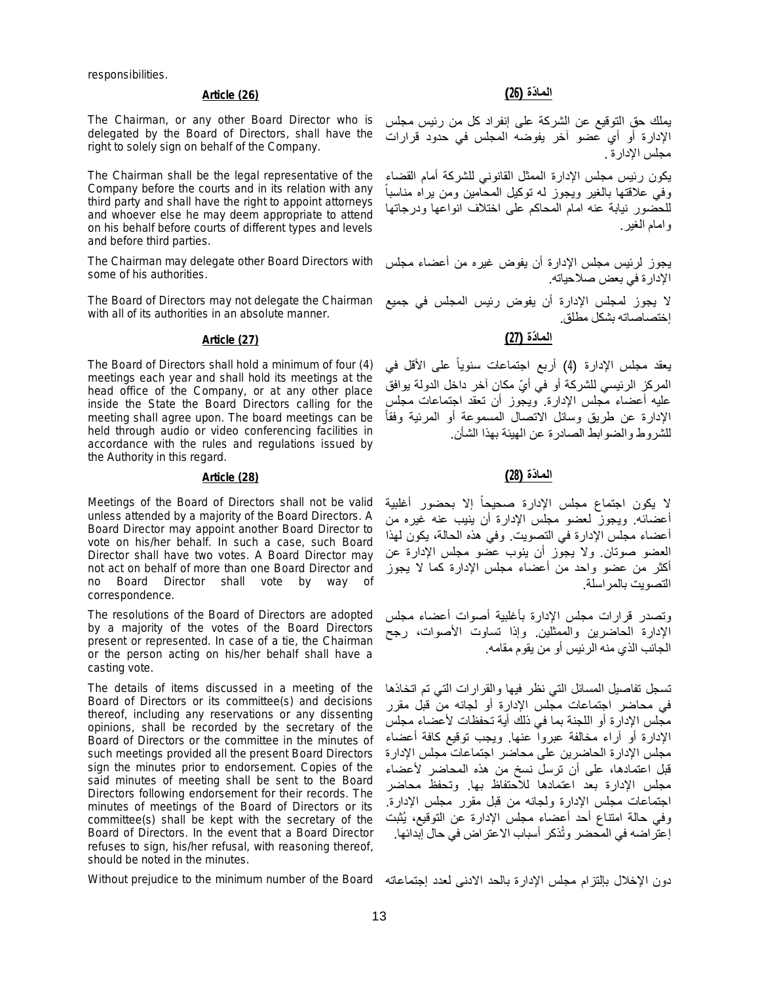responsibilities.

The Chairman, or any other Board Director who is delegated by the Board of Directors, shall have the right to solely sign on behalf of the Company.

The Chairman shall be the legal representative of the Company before the courts and in its relation with any third party and shall have the right to appoint attorneys and whoever else he may deem appropriate to attend on his behalf before courts of different types and levels and before third parties.

The Chairman may delegate other Board Directors with some of his authorities.

The Board of Directors may not delegate the Chairman with all of its authorities in an absolute manner.

The Board of Directors shall hold a minimum of four (4) meetings each year and shall hold its meetings at the head office of the Company, or at any other place inside the State the Board Directors calling for the meeting shall agree upon. The board meetings can be held through audio or video conferencing facilities in accordance with the rules and regulations issued by the Authority in this regard.

# **الما ّدة (28) (28) Article**

Meetings of the Board of Directors shall not be valid unless attended by a majority of the Board Directors. A Board Director may appoint another Board Director to vote on his/her behalf. In such a case, such Board Director shall have two votes. A Board Director may not act on behalf of more than one Board Director and no Board Director shall vote by way of correspondence.

The resolutions of the Board of Directors are adopted by a majority of the votes of the Board Directors present or represented. In case of a tie, the Chairman or the person acting on his/her behalf shall have a casting vote.

The details of items discussed in a meeting of the Board of Directors or its committee(s) and decisions thereof, including any reservations or any dissenting opinions, shall be recorded by the secretary of the Board of Directors or the committee in the minutes of such meetings provided all the present Board Directors sign the minutes prior to endorsement. Copies of the said minutes of meeting shall be sent to the Board Directors following endorsement for their records. The minutes of meetings of the Board of Directors or its committee(s) shall be kept with the secretary of the Board of Directors. In the event that a Board Director refuses to sign, his/her refusal, with reasoning thereof, should be noted in the minutes.

### دون الإخلال بإلتزام مجلس الإدارة بالحد الادنى لعدد إجتماعاتھ Board the of number minimum the to prejudice Without

### **الما ّدة (26) (26) Article**

یملك حق التوقیع عن الشركة على إنفراد كل من رئیس مجلس الإدارة أو أي عضو آخر یفوضھ المجلس في حدود قرارات مجلس الإدارة .

یكون رئیس مجلس الإدارة الممثل القانوني للشركة أمام القضاء وفي علاقتھا بالغیر ویجوز لھ توكیل المحامین ومن یراه مناسبا للحضور نیابة عنھ امام المحاكم على اختلاف انواعھا ودرجاتھا وامام الغیر.

ً

یجوز لرئیس مجلس الإدارة أن یفوض غیره من أعضاء مجلس الإدارة في بعض صلاحیاتھ.

لا یجوز لمجلس الإدارة أن یفوض رئیس المجلس في جمیع إختصاصاتھ بشكل مطلق.

# **الما ّدة (27) (27) Article**

یعقد مجلس الإدارة (4) أربع اجتماعات سنوی ا على الأقل في ً المركز الرئيسي للشركة أو في أيّ مكان آخر داخل الدولة يوافق علیھ أعضاء مجلس الإدارة. ویجوز أن تعقد اجتماعات مجلس الإدارة عن طریق وسائل الاتصال المسموعة أو المرئیة وفقاً للشروط والضوابط الصادرة عن الھیئة بھذا الشأن.

لا يكون اجتماع مجلس الإدارة صحيحا إلا بحضور أغلبية ً أعضائھ. ویجوز لعضو مجلس الإدارة أن ینیب عنھ غیره من أعضاء مجلس الإدارة في التصویت. وفي ھذه الحالة، یكون لھذا العضو صوتان. ولا یجوز أن ینوب عضو مجلس الإدارة عن أكثر من عضو واحد من أعضاء مجلس الإدارة كما لا یجوز التصویت بالمراسلة.

وتصدر قرارات مجلس الإدارة بأغلبیة أصوات أعضاء مجلس الإدارة الحاضرین والممثلین. وإذا تساوت الأصوات، رجح الجانب الذي منھ الرئیس أو من یقوم مقامھ.

تسجل تفاصیل المسائل التي نظر فیھا والقرارات التي تم اتخاذھا في محاضر اجتماعات مجلس الإدارة أو لجانھ من قبل مقرر مجلس الإدارة أو اللجنة بما في ذلك أیة تحفظات لأعضاء مجلس الإدارة أو آراء مخالفة عبروا عنھا. ویجب توقیع كافة أعضاء مجلس الإدارة الحاضرین على محاضر اجتماعات مجلس الإدارة قبل اعتمادھا، على أن ترسل نسخ من ھذه المحاضر لأعضاء مجلس الإدارة بعد اعتمادھا للاحتفاظ بھا. وتحفظ محاضر اجتماعات مجلس الإدارة ولجانھ من قبل مقرر مجلس الإدارة. وفي حالة امتناع أحد أعضاء مجلس الإدارة عن التوقیع، یُثبت .<br>إعتر اضبه في المحضر وتُذكر أسباب الاعتر اض في حال إبدائها.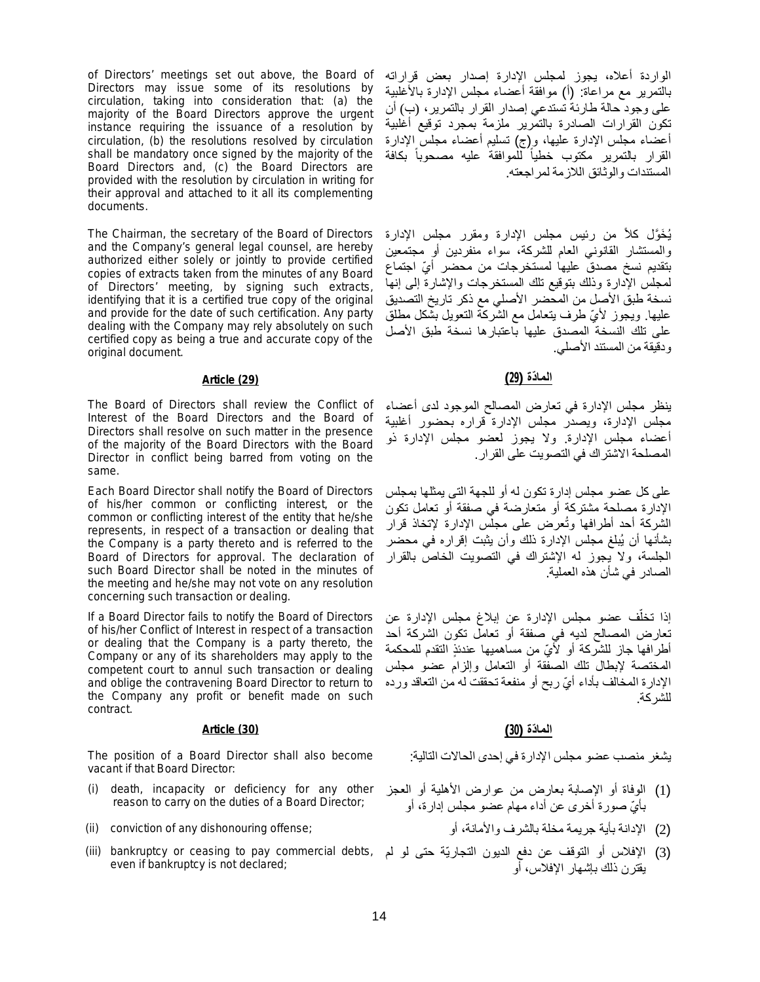of Directors' meetings set out above, the Board of Directors may issue some of its resolutions by circulation, taking into consideration that: (a) the majority of the Board Directors approve the urgent instance requiring the issuance of a resolution by circulation, (b) the resolutions resolved by circulation shall be mandatory once signed by the majority of the Board Directors and, (c) the Board Directors are provided with the resolution by circulation in writing for their approval and attached to it all its complementing documents.

The Chairman, the secretary of the Board of Directors and the Company's general legal counsel, are hereby authorized either solely or jointly to provide certified copies of extracts taken from the minutes of any Board of Directors' meeting, by signing such extracts, identifying that it is a certified true copy of the original and provide for the date of such certification. Any party dealing with the Company may rely absolutely on such certified copy as being a true and accurate copy of the original document.

The Board of Directors shall review the Conflict of Interest of the Board Directors and the Board of Directors shall resolve on such matter in the presence of the majority of the Board Directors with the Board Director in conflict being barred from voting on the same.

Each Board Director shall notify the Board of Directors of his/her common or conflicting interest, or the common or conflicting interest of the entity that he/she represents, in respect of a transaction or dealing that the Company is a party thereto and is referred to the Board of Directors for approval. The declaration of such Board Director shall be noted in the minutes of the meeting and he/she may not vote on any resolution concerning such transaction or dealing.

If a Board Director fails to notify the Board of Directors of his/her Conflict of Interest in respect of a transaction or dealing that the Company is a party thereto, the Company or any of its shareholders may apply to the competent court to annul such transaction or dealing and oblige the contravening Board Director to return to the Company any profit or benefit made on such contract.

### **الما ّدة (30) (30) Article**

The position of a Board Director shall also become vacant if that Board Director:

- (i) death, incapacity or deficiency for any other reason to carry on the duties of a Board Director;
- (2) الإدانة بأية جريمة مخلة بالشرف والأمانة، أو ;onviction of any dishonouring offense (2)
- (iii) bankruptcy or ceasing to pay commercial debts, (3) الإفلاس أو التوقف عن دفع الدیون التجاریّة حتى لو لم even if bankruptcy is not declared;

الواردة أعلاه، یجوز لمجلس الإدارة إصدار بعض قراراتھ بالتمریر مع مراعاة: (أ) موافقة أعضاء مجلس الإدارة بالأغلبیة على وجود حالة طارئة تستدعي إصدار القرار بالتمریر، (ب) أن تكون القرارات الصادرة بالتمریر ملزمة بمجرد توقیع أغلبیة أعضاء مجلس الإدارة علیھا، و(ج) تسلیم أعضاء مجلس الإدارة القرار بالتمرير مكتوب خطيا للموافقة عليه مصحوبا بكافة ً ً المستندات والوثائق اللازمة لمراجعتھ.

یُ َخ َّول كلاً من رئیس مجلس الإدارة ومقرر مجلس الإدارة والمستشار القانوني العام للشركة، سواء منفردین أو مجتمعین بتقدیم نسخ مصدق علیھا لمستخرجات من محضر أ ّي اجتماع لمجلس الإدارة وذلك بتوقیع تلك المستخرجات والإشارة إلى إنھا نسخة طبق الأصل من المحضر الأصلي مع ذكر تاریخ التصدیق علیھا. ویجوز لأ ّي طرف یتعامل مع الشركة التعویل بشكل مطلق على تلك النسخة المصدق علیھا باعتبارھا نسخة طبق الأصل ودقیقة من المستند الأصلي.

# **الما ّدة (29) (29) Article**

ینظر مجلس الإدارة في تعارض المصالح الموجود لدى أعضاء مجلس الإدارة، ویصدر مجلس الإدارة قراره بحضور أغلبیة أعضاء مجلس الإدارة. ولا یجوز لعضو مجلس الإدارة ذو المصلحة الاشتراك في التصویت على القرار.

على كل عضو مجلس إدارة تكون لھ أو للجھة التى یمثلھا بمجلس الإدارة مصلحة مشتركة أو متعارضة في صفقة أو تعامل تكون الشركة أحد أطرافھا وتُعرض على مجلس الإدارة لإتخاذ قرار بشأنھا أن یُبلغ مجلس الإدارة ذلك وأن یثبت إقراره في محضر الجلسة، ولا یجوز لھ الإشتراك في التصویت الخاص بالقرار الصادر في شأن ھذه العملیة.

إذا تخلُّف عضو مجلس الإدارة عن إبلاغ مجلس الإدارة عن تعارض المصالح لدیھ في صفقة أو تعامل تكون الشركة أحد أطرافها جاز للشّركة أو لأَيّ من مساهميها عندئذِ التقدم للمحكمة المختصة لإبطال تلك الصفقة أو التعامل وإلزام عضو مجلس الإدارة المخالف بأداء أيّ ربح أو منفعة تحققت له من التعاقد ورده للشركة.

یشغر منصب عضو مجلس الإدارة في إحدى الحالات التالیة:

- (1) الوفاة أو الإصابة بعارض من عوارض الأھلیة أو العجز بأ ّي صورة أخرى عن أداء مھام عضو مجلس إدارة، أو
	-
- یقترن ذلك بإشھار الإفلاس، أو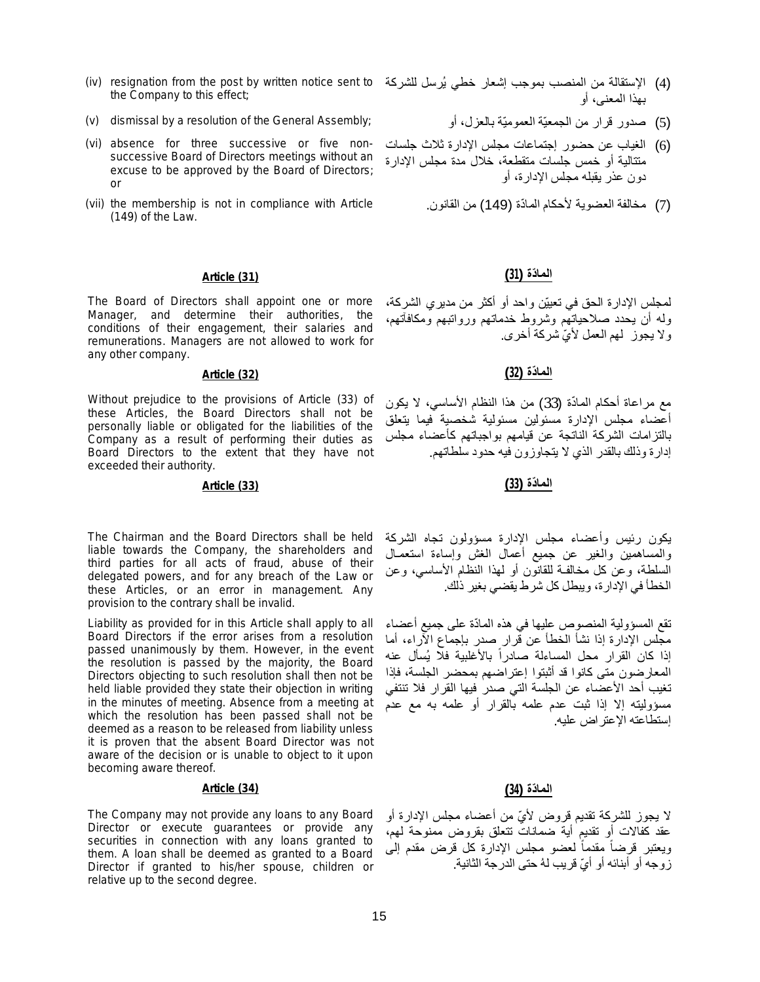- (iv) resignation from the post by written notice sent to (4) الإستقالة من المنصب بموجب إشعار خطي یُرسل للشركة the Company to this effect;
- (5) صدور قرار من الجمعيّة العموميّة بالعزل، أو dismissal by a resolution of the General Assembly;
- (vi) absence for three successive or five nonsuccessive Board of Directors meetings without an excuse to be approved by the Board of Directors; or
- (vii) the membership is not in compliance with Article (149) of the Law.

# **الما ّدة (31) (31) Article**

The Board of Directors shall appoint one or more Manager, and determine their authorities, the conditions of their engagement, their salaries and remunerations. Managers are not allowed to work for any other company.

Without prejudice to the provisions of Article (33) of these Articles, the Board Directors shall not be personally liable or obligated for the liabilities of the Company as a result of performing their duties as Board Directors to the extent that they have not exceeded their authority.

# **الما ّدة (33) (33) Article**

The Chairman and the Board Directors shall be held liable towards the Company, the shareholders and third parties for all acts of fraud, abuse of their delegated powers, and for any breach of the Law or these Articles, or an error in management. Any provision to the contrary shall be invalid.

Liability as provided for in this Article shall apply to all Board Directors if the error arises from a resolution passed unanimously by them. However, in the event the resolution is passed by the majority, the Board Directors objecting to such resolution shall then not be held liable provided they state their objection in writing in the minutes of meeting. Absence from a meeting at which the resolution has been passed shall not be deemed as a reason to be released from liability unless it is proven that the absent Board Director was not aware of the decision or is unable to object to it upon becoming aware thereof.

### **الما ّدة (34) (34) Article**

The Company may not provide any loans to any Board Director or execute guarantees or provide any securities in connection with any loans granted to them. A loan shall be deemed as granted to a Board Director if granted to his/her spouse, children or relative up to the second degree.

- بھذا المعنى، أو
	-
- (6) الغیاب عن حضور إجتماعات مجلس الإدارة ثلاث جلسات متتالیة أو خمس جلسات متقطعة، خلال مدة مجلس الإدارة دون عذر یقبلھ مجلس الإدارة، أو
	- (7) مخالفة العضوية لأحكام المادّة (149) من القانون.

لمجلس الإدارة الحق في تعییّن واحد أو أكثر من مدیري الشركة، ولھ أن یحدد صلاحیاتھم وشروط خدماتھم ورواتبھم ومكافآتھم، ولا یجوز لھم العمل لأ ّي شركة أخرى.

# **الما ّدة (32) (32) Article**

مع مراعاة أحكام المادّة (33) من هذا النظام الأساسي، لا يكون أعضاء مجلس الإدارة مسئولین مسئولیة شخصیة فیما یتعلق بالتزامات الشركة الناتجة عن قیامھم بواجباتھم كأعضاء مجلس إدارة وذلك بالقدر الذي لا یتجاوزون فیھ حدود سلطاتھم.

یكون رئیس وأعضاء مجلس الإدارة مسؤولون تجاه الشركة والمساھمین والغیر عن جمیع أعمال الغش وإساءة استعمـال السلطة، وعن كل مخالفـة للقانون أو لھذا النظام الأساسي، وعن الخطأ في الإدارة، ویبطل كل شرط یقضي بغیر ذلك.

تقع المسؤولیة المنصوص علیها في هذه المادّة على جمیع أعضاء مجلس الإدارة إذا نشأ الخطأ عن قرار صدر بإجماع الآراء، أما إذا كان القرار محل المساءلة صادراً بالأغلبية فلّا يُسأل عنه المعارضون متى كانوا قد أثبتوا إعتراضھم بمحضر الجلسة، فإذا تغیب أحد الأعضاء عن الجلسة التي صدر فیھا القرار فلا تنتفي مسؤولیتھ إلا إذا ثبت عدم علمھ بالقرار أو علمھ بھ مع عدم إستطاعتھ الإعتراض علیھ.

لا یجوز للشركة تقدیم قروض لأ ّي من أعضاء مجلس الإدارة أو عقد كفالات أو تقدیم أیة ضمانات تتعلق بقروض ممنوحة لھم، ويعتبر قرضاً مقدماً لعضو مجلس الإدارة كل قرض مقدم إلى ً زوجه أو أبنائه أو أيّ قريب لهُ حتى الدرجة الثانية.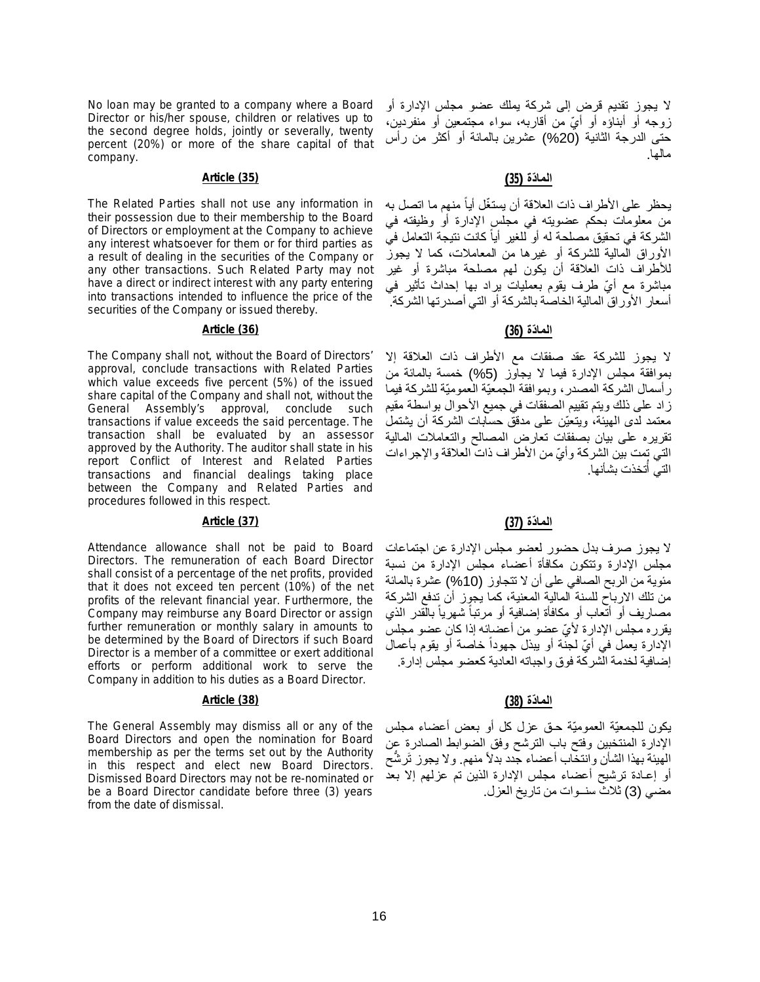No loan may be granted to a company where a Board Director or his/her spouse, children or relatives up to the second degree holds, jointly or severally, twenty percent (20%) or more of the share capital of that company.

# **الما ّدة (35) (35) Article**

The Related Parties shall not use any information in their possession due to their membership to the Board of Directors or employment at the Company to achieve any interest whatsoever for them or for third parties as a result of dealing in the securities of the Company or any other transactions. Such Related Party may not have a direct or indirect interest with any party entering into transactions intended to influence the price of the securities of the Company or issued thereby.

### **الما ّدة (36) (36) Article**

The Company shall not, without the Board of Directors' approval, conclude transactions with Related Parties which value exceeds five percent (5%) of the issued share capital of the Company and shall not, without the General Assembly's approval, conclude such transactions if value exceeds the said percentage. The transaction shall be evaluated by an assessor approved by the Authority. The auditor shall state in his report Conflict of Interest and Related Parties transactions and financial dealings taking place between the Company and Related Parties and procedures followed in this respect.

# **الما ّدة (37) (37) Article**

Attendance allowance shall not be paid to Board Directors. The remuneration of each Board Director shall consist of a percentage of the net profits, provided that it does not exceed ten percent (10%) of the net profits of the relevant financial year. Furthermore, the Company may reimburse any Board Director or assign further remuneration or monthly salary in amounts to be determined by the Board of Directors if such Board Director is a member of a committee or exert additional efforts or perform additional work to serve the Company in addition to his duties as a Board Director.

# **الما ّدة (38) (38) Article**

The General Assembly may dismiss all or any of the Board Directors and open the nomination for Board membership as per the terms set out by the Authority in this respect and elect new Board Directors. Dismissed Board Directors may not be re-nominated or be a Board Director candidate before three (3) years from the date of dismissal.

لا یجوز تقدیم قرض إلى شركة یملك عضو مجلس الإدارة أو زوجه أو أبناؤه أو أيّ من أقاربه، سواء مجتمعین أو منفردین، حتى الدرجة الثانیة (%20) عشرین بالمائة أو أكثر من رأس مالھا.

يحظر على الأطراف ذات العلاقة أن يستغّل أياً منهم ما اتصل به من معلومات بحكم عضویتھ في مجلس الإدارة أو وظیفتھ في الشركة في تحقيق مصلحة له أو للغير أياً كانت نتيجة التعامل في الأوراق المالیة للشركة أو غیرھا من المعاملات، كما لا یجوز للأطراف ذات العلاقة أن یكون لھم مصلحة مباشرة أو غیر مباشرة مع أيّ طرف یقوم بعملیات یراد بھا إحداث تأثیر في أسعار الأوراق المالیة الخاصة بالشركة أو التي أصدرتھا الشركة.

لا یجوز للشركة عقد صفقات مع الأطراف ذات العلاقة إلا بموافقة مجلس الإدارة فیما لا یجاوز (%5) خمسة بالمائة من رأسمال الشركة المصدر، وبموافقة الجمعیّة العمومیّة للشركة فیما زاد على ذلك ویتم تقییم الصفقات في جمیع الأحوال بواسطة مقیم معتمد لدى الھیئة، ویتعیّن على مدقق حسابات الشركة أن یشتمل تقریره على بیان بصفقات تعارض المصالح والتعاملات المالیة التي تمت بین الشركة وأ ّي من الأطراف ذات العلاقة والإجراءات التي أتخذت بشأنها. ا<br>أا

لا یجوز صرف بدل حضور لعضو مجلس الإدارة عن اجتماعات مجلس الإدارة وتتكون مكافأة أعضاء مجلس الإدارة من نسبة مئویة من الربح الصافي على أن لا تتجاوز (%10) عشرة بالمائة من تلك الارباح للسنة المالیة المعنیة، كما یجوز أن تدفع الشركة مصـاريف أو أتّعاب أو مكافأة إضـافية أو مرتباً شهرياً بالّقدر الذي ً یقرره مجلس الإدارة لأ ّي عضو من أعضائھ إذا كان عضو مجلس الإدارة يعمل في أيِّ لجنة أو يبذل جهودا خاصنة أو يقوم بأعمال ً إضافیة لخدمة الشركة فوق واجباتھ العادیة كعضو مجلس إدارة.

یكون للجمعیّة العمومیّة حـق عزل كل أو بعض أعضاء مجلس الإدارة المنتخبین وفتح باب الترشح وفق الضوابط الصادرة عن الهَيئةَ بهذا الشأنَ وانتخاب أعضاء جدد بدلاً منهم. ولا يجوز تَرشُّحَ أو إعـادة ترشیح أعضاء مجلس الإدارة الذین تم عزلھم إلا بعد مضي (3) ثلاث سنــوات من تاریخ العزل.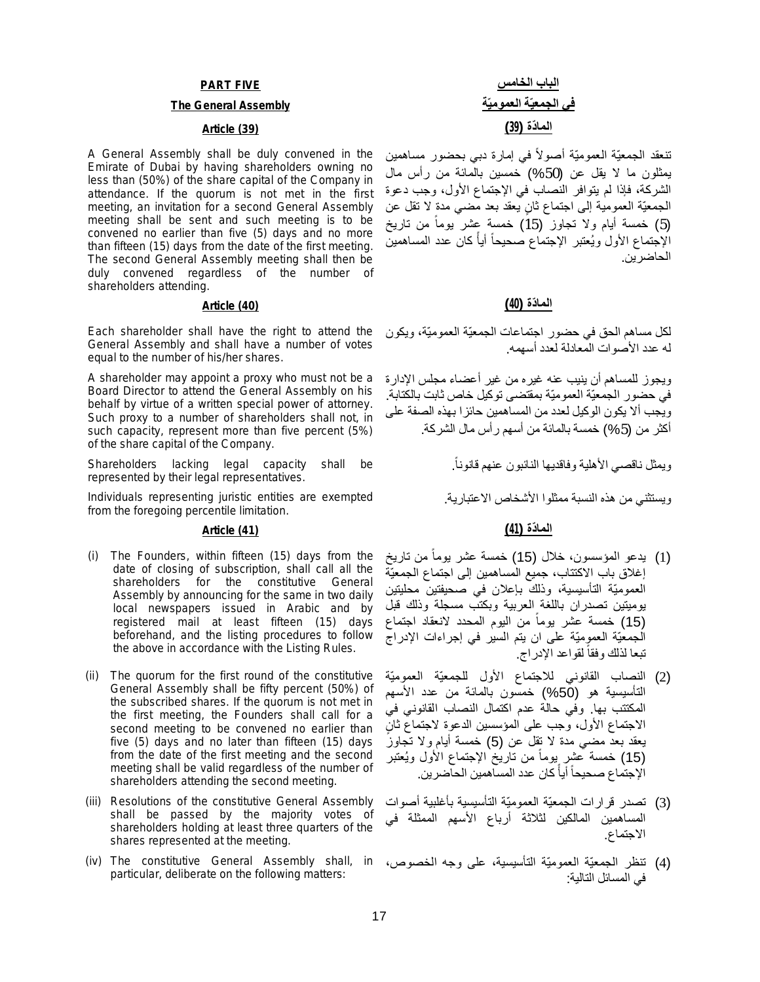### **PART FIVE**

### **The General Assembly**

A General Assembly shall be duly convened in the Emirate of Dubai by having shareholders owning no less than (50%) of the share capital of the Company in attendance. If the quorum is not met in the first meeting, an invitation for a second General Assembly meeting shall be sent and such meeting is to be convened no earlier than five (5) days and no more than fifteen (15) days from the date of the first meeting. The second General Assembly meeting shall then be duly convened regardless of the number of shareholders attending.

Each shareholder shall have the right to attend the General Assembly and shall have a number of votes equal to the number of his/her shares.

A shareholder may appoint a proxy who must not be a Board Director to attend the General Assembly on his behalf by virtue of a written special power of attorney. Such proxy to a number of shareholders shall not, in such capacity, represent more than five percent (5%) of the share capital of the Company.

Shareholders lacking legal capacity shall be represented by their legal representatives.

Individuals representing juristic entities are exempted from the foregoing percentile limitation.

# **الما ّدة (41) (41) Article**

- (i) The Founders, within fifteen (15) days from the date of closing of subscription, shall call all the shareholders for the constitutive General Assembly by announcing for the same in two daily local newspapers issued in Arabic and by registered mail at least fifteen (15) days beforehand, and the listing procedures to follow the above in accordance with the Listing Rules.
- (ii) The quorum for the first round of the constitutive General Assembly shall be fifty percent (50%) of the subscribed shares. If the quorum is not met in the first meeting, the Founders shall call for a second meeting to be convened no earlier than five (5) days and no later than fifteen (15) days from the date of the first meeting and the second meeting shall be valid regardless of the number of shareholders attending the second meeting.
- (iii) Resolutions of the constitutive General Assembly shall be passed by the majority votes of shareholders holding at least three quarters of the shares represented at the meeting.
- (iv) The constitutive General Assembly shall, in (4) تنظر الجمعیّة العمومیّة التأسیسیة، على وجھ الخصوص، particular, deliberate on the following matters:

ننعقد الجمعیّة العمومیّة أصولاً في إمارة دبي بحضور مساهمين یمثلون ما لا یقل عن (%50) خمسین بالمائة من رأس مال الشركة، فإذا لم یتوافر النصاب في الإجتماع الأول، وجب دعوة الجمعيّة العمومية إلى اجتماع ثانٍ يعقد بعد مضي مدةٍ لا تقل عن (5) خمسة أيام ولا تجاوز (15) خمسة عِشر بوما من تاريخ ً الإجتماع الأول ويُعتبر الإجتماع صحيحا أيأ كان عدد المساهمين ً ً الحاضرین.

### **الما ّدة (40) (40) Article**

لكل مساھم الحق في حضور اجتماعات الجمعیّة العمومیّة، ویكون لھ عدد الأصوات المعادلة لعدد أسھمھ.

ویجوز للمساھم أن ینیب عنھ غیره من غیر أعضاء مجلس الإدارة في حضور الجمعیّة العمومیّة بمقتضى توكیل خاص ثابت بالكتابة. ویجب ألا یكون الوكیل لعدد من المساھمین حائزا بھذه الصفة على أكثر من (%5) خمسة بالمائة من أسھم رأس مال الشركة.

ویمثل ناقصي الأھلیة وفاقدیھا النائبون عنھم قانوناً.

ویستثني من ھذه النسبة ممثلوا الأشخاص الاعتباریة.

- (1) يدعو المؤسسون، خلال (15) خمسة عشر يوما من تاريخ ً إغلاق باب الاكتتاب، جمیع المساھمین إلى اجتماع الجمعیّة العمومیّة التأسیسیة، وذلك بإعلان في صحیفتین محلیتین یومیتین تصدران باللغة العربیة وبكتب مسجلة وذلك قبل (15) خمسة عشر يوما من اليوم المحدد لانعقاد اجتماع ً الجمعیّة العمومیّة على ان یتم السیر في إجراءات الإدراج تبعا لذلك وفقا لقواعد الإدراج. ً
- (2) النصاب القانوني للاجتماع الأول للجمعیّة العمومیّة التأسیسیة ھو (%50) خمسون بالمائة من عدد الأسھم المكتتب بھا. وفي حالة عدم اكتمال النصاب القانوني في ٍن الاجتماع الأول، وجب على المؤسسین الدعوة لاجتماع ثا یعقد بعد مضي مدة لا تقل عن (5) خمسة أیام ولا تجاوز (15) خمسة عشر ٍيوما من تاريخ الإجتماع الأول ويُعتبر ً الإجتماع صحيحاً أياً كان عدد المساهمين الحاضرين. ً
- (3) تصدر قرارات الجمعیّة العمومیّة التأسیسیة بأغلبیة أصوات المساھمین المالكین لثلاثة أرباع الأسھم الممثلة في الاجتماع.
- في المسائل التالیة: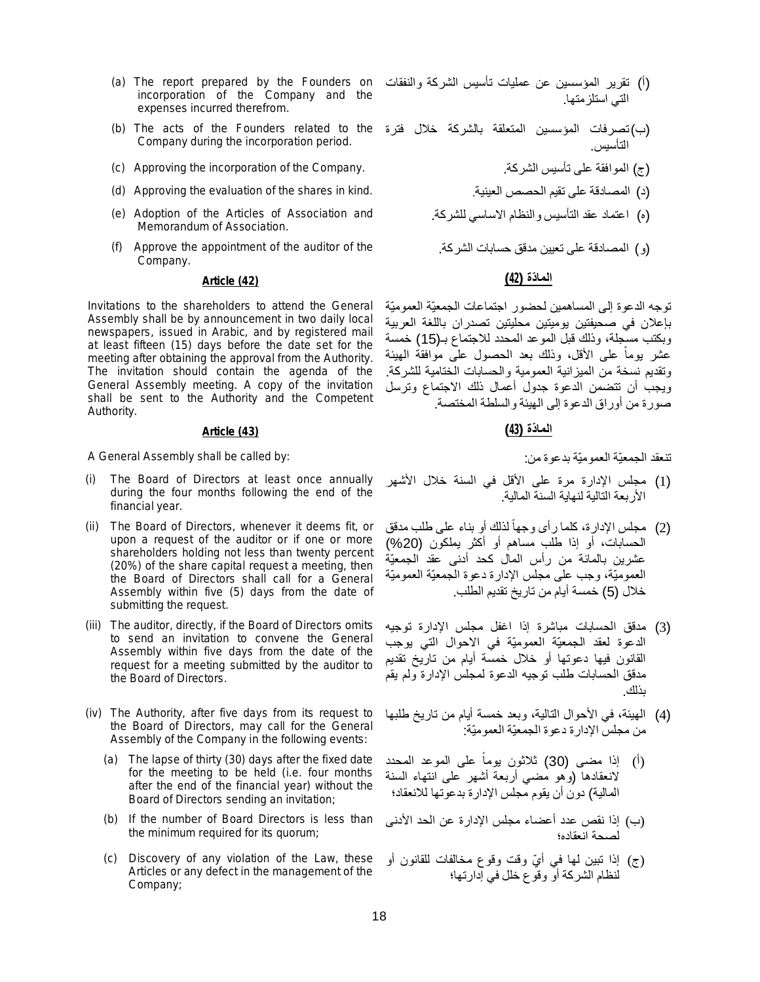- incorporation of the Company and the expenses incurred therefrom.
- Company during the incorporation period.
- (c) Approving the incorporation of the Company. .الشركة تأسیس على الموافقة) ج(
- (د) المصادقة على تقيم الحصص العينية. ... (d) Approving the evaluation of the shares in kind.
- (e) Adoption of the Articles of Association and Memorandum of Association.
- (f) Approve the appointment of the auditor of the Company.

# **الما ّدة (42) (42) Article**

Invitations to the shareholders to attend the General Assembly shall be by announcement in two daily local newspapers, issued in Arabic, and by registered mail at least fifteen (15) days before the date set for the meeting after obtaining the approval from the Authority. The invitation should contain the agenda of the General Assembly meeting. A copy of the invitation shall be sent to the Authority and the Competent Authority.

تنعقد الجمعیّة العمومیّة بدعوة من: :by called be shall Assembly General A

- (i) The Board of Directors at least once annually during the four months following the end of the financial year.
- (ii) The Board of Directors, whenever it deems fit, or upon a request of the auditor or if one or more shareholders holding not less than twenty percent (20%) of the share capital request a meeting, then the Board of Directors shall call for a General Assembly within five (5) days from the date of submitting the request.
- (iii) The auditor, directly, if the Board of Directors omits to send an invitation to convene the General Assembly within five days from the date of the request for a meeting submitted by the auditor to the Board of Directors.
- (iv) The Authority, after five days from its request to the Board of Directors, may call for the General Assembly of the Company in the following events:
	- (a) The lapse of thirty (30) days after the fixed date for the meeting to be held (i.e. four months after the end of the financial year) without the Board of Directors sending an invitation;
	- (b) If the number of Board Directors is less than the minimum required for its quorum;
	- (c) Discovery of any violation of the Law, these Articles or any defect in the management of the Company;
- (a) The report prepared by the Founders on (أ) تقریر المؤسسین عن عملیات تأسیس الشركة والنفقات التي استلزمتھا.
- (b) The acts of the Founders related to the (ب)تصرفات المؤسسین المتعلقة بالشركة خلال فترة التأسیس.
	-
	-
	- (ه) اعتماد عقد التأسیس والنظام الاساسي للشركة.
	- (و) المصادقة على تعیین مدقق حسابات الشركة.

توجھ الدعوة إلى المساھمین لحضور اجتماعات الجمعیّة العمومیّة بإعلان في صحیفتین یومیتین محلیتین تصدران باللغة العربیة وبكتب مسجلة، وذلك قبل الموعد المحدد للاجتماع بـ(15) خمسة عشر یوما على الأقل، وذلك بعد الحصول على موافقة الھیئة ً وتقدیم نسخة من المیزانیة العمومیة والحسابات الختامیة للشركة. ویجب أن تتضمن الدعوة جدول أعمال ذلك الاجتماع وترسل صورة من أوراق الدعوة إلى الھیئة والسلطة المختصة.

# **الما ّدة (43) (43) Article**

- (1) مجلس الإدارة مرة على الأقل في السنة خلال الأشھر الأربعة التالیة لنھایة السنة المالیة.
- (2) مجلس الإدارة، كلما رأى وجھا لذلك أو بناء على طلب مدقق ً الحسابات، أو إذا طلب مساھم أو أكثر یملكون (%20) عشرین بالمائة من رأس المال كحد أدنى عقد الجمعیّة العمومیّة، وجب على مجلس الإدارة دعوة الجمعیّة العمومیّة خلال (5) خمسة أیام من تاریخ تقدیم الطلب.
- (3) مدقق الحسابات مباشرة إذا اغفل مجلس الإدارة توجیھ الدعوة لعقد الجمعیّة العمومیّة في الاحوال التي یوجب القانون فیھا دعوتھا أو خلال خمسة أیام من تاریخ تقدیم مدقق الحسابات طلب توجیھ الدعوة لمجلس الإدارة ولم یقم بذلك.
- (4) الھیئة، في الأحوال التالیة، وبعد خمسة أیام من تاریخ طلبھا من مجلس الإدارة دعوة الجمعیّة العمومیّة:
- (أ) إذا مضى (30) ثلاثون یوما على الموعد المحدد ً لانعقادھا (وھو مضي أربعة أشھر على انتھاء السنة المالیة) دون أن یقوم مجلس الإدارة بدعوتھا للانعقاد؛
- (ب) إذا نقص عدد أعضاء مجلس الإدارة عن الحد الأدنى لصحة انعقاده؛
- (ج) إذا تبین لها في أيّ وقت وقوع مخالفات للقانون أو لنظام الشركة أو وقوع خلل في إدارتھا؛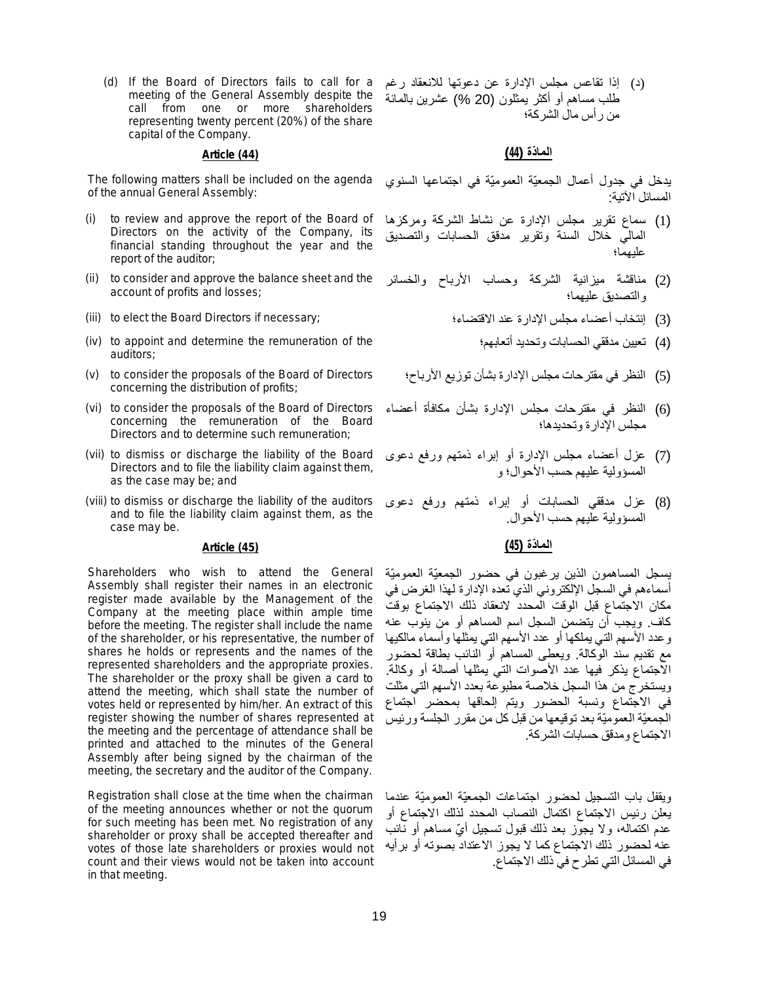(d) If the Board of Directors fails to call for a meeting of the General Assembly despite the call from one or more shareholders representing twenty percent (20%) of the share capital of the Company.

of the annual General Assembly:

- (i) to review and approve the report of the Board of Directors on the activity of the Company, its financial standing throughout the year and the report of the auditor;
- (ii) to consider and approve the balance sheet and the account of profits and losses;
- 
- (iv) to appoint and determine the remuneration of the auditors;
- (v) to consider the proposals of the Board of Directors concerning the distribution of profits;
- (vi) to consider the proposals of the Board of Directors concerning the remuneration of the Board Directors and to determine such remuneration;
- (vii) to dismiss or discharge the liability of the Board Directors and to file the liability claim against them, as the case may be; and
- (viii) to dismiss or discharge the liability of the auditors and to file the liability claim against them, as the case may be.

# **الما ّدة (45) (45) Article**

Shareholders who wish to attend the General Assembly shall register their names in an electronic register made available by the Management of the Company at the meeting place within ample time before the meeting. The register shall include the name of the shareholder, or his representative, the number of shares he holds or represents and the names of the represented shareholders and the appropriate proxies. The shareholder or the proxy shall be given a card to attend the meeting, which shall state the number of votes held or represented by him/her. An extract of this register showing the number of shares represented at the meeting and the percentage of attendance shall be printed and attached to the minutes of the General Assembly after being signed by the chairman of the meeting, the secretary and the auditor of the Company.

Registration shall close at the time when the chairman of the meeting announces whether or not the quorum for such meeting has been met. No registration of any shareholder or proxy shall be accepted thereafter and votes of those late shareholders or proxies would not count and their views would not be taken into account in that meeting.

(د) إذا تقاعس مجلس الإدارة عن دعوتھا للانعقاد رغم طلب مساھم أو أكثر یمثلون (20 %) عشرین بالمائة من رأس مال الشركة؛

# **الما ّدة (44) (44) Article**

The following matters shall be included on the agenda یدخل في جدول أعمال الجمعیّة العمومیّة في اجتماعھا السنوي المسائل الآتیة:

- (1) سماع تقریر مجلس الإدارة عن نشاط الشركة ومركزھا المالي خلال السنة وتقریر مدقق الحسابات والتصدیق علیھما؛
- (2) مناقشة میزانیة الشركة وحساب الأرباح والخسائر والتصدیق علیھما؛
- (iii) to elect the Board Directors if necessary; الاقتضاء؛ عند الإدارة مجلس أعضاء إنتخاب) 3(
	- (4) تعیین مدققي الحسابات وتحدید أتعابھم؛
	- (5) النظر في مقترحات مجلس الإدارة بشأن توزیع الأرباح؛
	- (6) النظر في مقترحات مجلس الإدارة بشأن مكافأة أعضاء مجلس الإدارة وتحدیدھا؛
	- (7) عزل أعضاء مجلس الإدارة أو إبراء ذمتھم ورفع دعوى المسؤولیة علیھم حسب الأحوال؛ و
	- (8) عزل مدققي الحسابات أو إبراء ذمتھم ورفع دعوى المسؤولیة علیھم حسب الأحوال.

یسجل المساھمون الذین یرغبون في حضور الجمعیّة العمومیّة أسماءھم في السجل الإلكتروني الذي تعده الإدارة لھذا الغرض في مكان الاجتماع قبل الوقت المحدد لانعقاد ذلك الاجتماع بوقت كاف. ویجب أن یتضمن السجل اسم المساھم أو من ینوب عنھ وعدد الأسھم التي یملكھا أو عدد الأسھم التي یمثلھا وأسماء مالكیھا مع تقدیم سند الوكالة. ویعطى المساھم أو النائب بطاقة لحضور الاجتماع یذكر فیھا عدد الأصوات التي یمثلھا أصالة أو وكالة. ویستخرج من ھذا السجل خلاصة مطبوعة بعدد الأسھم التي مثلت في الاجتماع ونسبة الحضور ویتم إلحاقھا بمحضر اجتماع الجمعیّة العمومیّة بعد توقیعھا من قبل كل من مقرر الجلسة ورئیس الاجتماع ومدقق حسابات الشركة.

ویقفل باب التسجیل لحضور اجتماعات الجمعیّة العمومیّة عندما یعلن رئیس الاجتماع اكتمال النصاب المحدد لذلك الاجتماع أو عدم اكتماله، ولا يجوز بعد ذلك قبول تسجيل أيّ مساهم أو نائب عنھ لحضور ذلك الاجتماع كما لا یجوز الاعتداد بصوتھ أو برأیھ في المسائل التي تطرح في ذلك الاجتماع.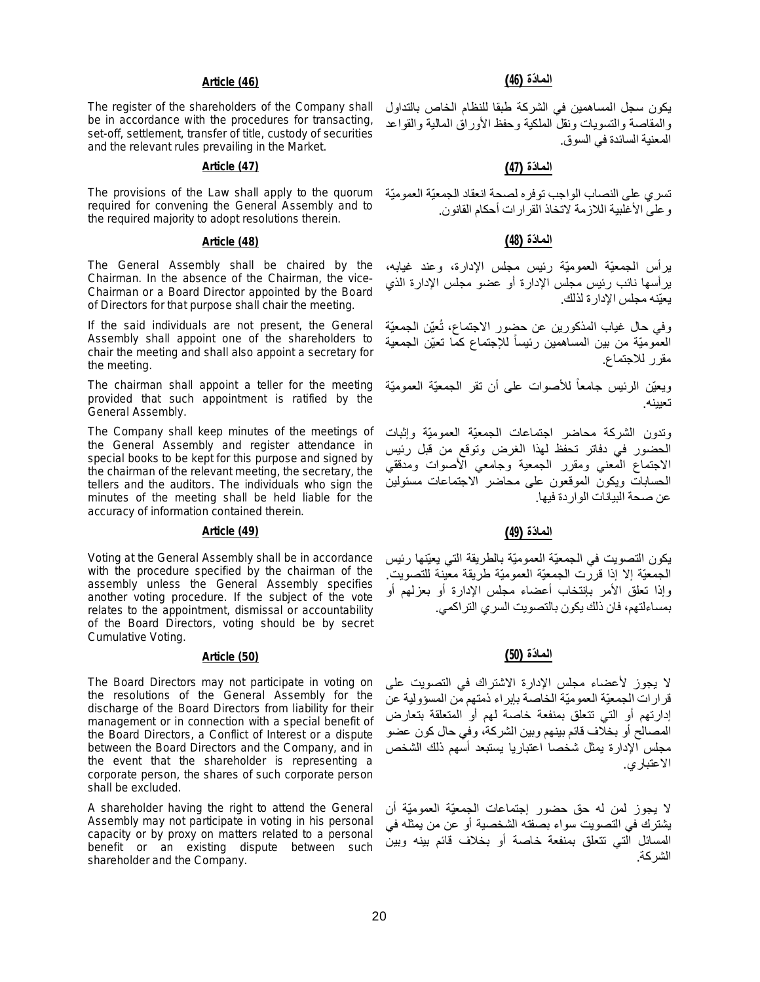### **الما ّدة (46) (46) Article**

The register of the shareholders of the Company shall be in accordance with the procedures for transacting, set-off, settlement, transfer of title, custody of securities and the relevant rules prevailing in the Market.

# **الما ّدة (47) (47) Article**

The provisions of the Law shall apply to the quorum required for convening the General Assembly and to the required majority to adopt resolutions therein.

# **الما ّدة (48) (48) Article**

The General Assembly shall be chaired by the Chairman. In the absence of the Chairman, the vice-Chairman or a Board Director appointed by the Board of Directors for that purpose shall chair the meeting.

If the said individuals are not present, the General Assembly shall appoint one of the shareholders to chair the meeting and shall also appoint a secretary for the meeting.

The chairman shall appoint a teller for the meeting provided that such appointment is ratified by the General Assembly.

The Company shall keep minutes of the meetings of the General Assembly and register attendance in special books to be kept for this purpose and signed by the chairman of the relevant meeting, the secretary, the tellers and the auditors. The individuals who sign the minutes of the meeting shall be held liable for the accuracy of information contained therein.

### **الما ّدة (49) (49) Article**

Voting at the General Assembly shall be in accordance with the procedure specified by the chairman of the assembly unless the General Assembly specifies another voting procedure. If the subject of the vote relates to the appointment, dismissal or accountability of the Board Directors, voting should be by secret Cumulative Voting.

The Board Directors may not participate in voting on the resolutions of the General Assembly for the discharge of the Board Directors from liability for their management or in connection with a special benefit of the Board Directors, a Conflict of Interest or a dispute between the Board Directors and the Company, and in the event that the shareholder is representing a corporate person, the shares of such corporate person shall be excluded.

A shareholder having the right to attend the General Assembly may not participate in voting in his personal capacity or by proxy on matters related to a personal benefit or an existing dispute between such shareholder and the Company.

یكون سجل المساھمین في الشركة طبقا للنظام الخاص بالتداول والمقاصة والتسویات ونقل الملكیة وحفظ الأوراق المالیة والقواعد المعنیة السائدة في السوق.

تسري على النصاب الواجب توفره لصحة انعقاد الجمعیّة العمومیّة وعلى الأغلبیة اللازمة لاتخاذ القرارات أحكام القانون.

یرأس الجمعیّة العمومیّة رئیس مجلس الإدارة، وعند غیابھ، یرأسھا نائب رئیس مجلس الإدارة أو عضو مجلس الإدارة الذي یعیّنھ مجلس الإدارة لذلك.

وفي حال غیاب المذكورین عن حضور الاجتماع، تُعیّن الجمعیّة العمومیّة من بین المساھمین رئیسا للإجتماع كما تعیّن الجمعیة ً مقرر للاجتماع.

ويعيّن الرئيس جامعا للأصوات على أن تقر الجمعيّة العموميّة ً تعیینه

وتدون الشركة محاضر اجتماعات الجمعیّة العمومیّة وإثبات الحضور في دفاتر تحفظ لھذا الغرض وتوقع من قبل رئیس الاجتماع المعني ومقرر الجمعیة وجامعي الأصوات ومدققي الحسابات ویكون الموقعون على محاضر الاجتماعات مسئولین عن صحة البیانات الواردة فیھا.

یكون التصویت في الجمعیّة العمومیّة بالطریقة التي یعیّنھا رئیس الجمعیّة إلا إذا قررت الجمعیّة العمومیّة طریقة معینة للتصویت. وإذا تعلق الأمر بإنتخاب أعضاء مجلس الإدارة أو بعزلھم أو بمساءلتھم، فان ذلك یكون بالتصویت السري التراكمي.

# **الما ّدة (50) (50) Article**

لا یجوز لأعضاء مجلس الإدارة الاشتراك في التصویت على قرارات الجمعیّة العمومیّة الخاصة بإبراء ذمتھم من المسؤولیة عن إدارتھم أو التي تتعلق بمنفعة خاصة لھم أو المتعلقة بتعارض المصالح أو بخلاف قائم بینھم وبین الشركة، وفي حال كون عضو مجلس الإدارة یمثل شخصا اعتباریا یستبعد أسھم ذلك الشخص الاعتباري.

لا یجوز لمن لھ حق حضور إجتماعات الجمعیّة العمومیّة أن یشترك في التصویت سواء بصفتھ الشخصیة أو عن من یمثلھ في المسائل التي تتعلق بمنفعة خاصة أو بخلاف قائم بینھ وبین الشركة.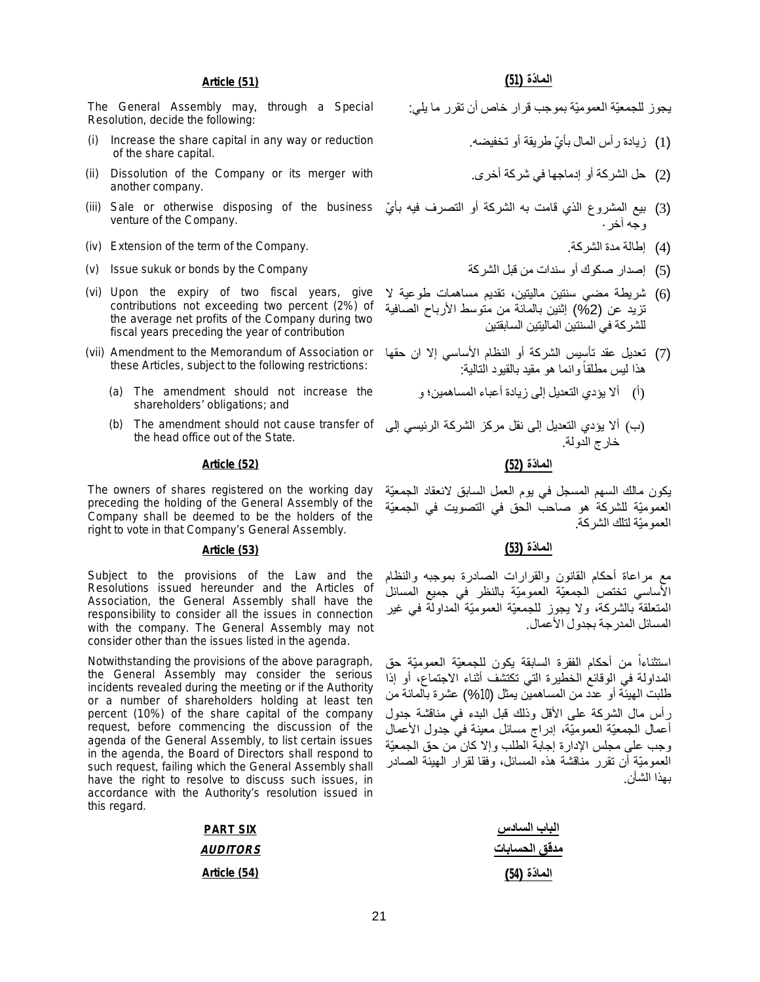### **الما ّدة (51) (51) Article**

The General Assembly may, through a Special Resolution, decide the following:

- Increase the share capital in any way or reduction of the share capital.
- (ii) Dissolution of the Company or its merger with another company.
- (3) بيع المشروع الذي قامت به الشركة أو التصرف فيه بأيّ Sale or otherwise disposing of the business) venture of the Company.
- (iv) Extension of the term of the Company. إطالة مدة الشركة (4)
- 
- (vi) Upon the expiry of two fiscal years, give contributions not exceeding two percent (2%) of the average net profits of the Company during two fiscal years preceding the year of contribution
- (vii) Amendment to the Memorandum of Association or these Articles, subject to the following restrictions:
	- (a) The amendment should not increase the shareholders' obligations; and
	- (b) The amendment should not cause transfer of the head office out of the State.

### **الما ّدة (52) (52) Article**

The owners of shares registered on the working day preceding the holding of the General Assembly of the Company shall be deemed to be the holders of the right to vote in that Company's General Assembly.

Subject to the provisions of the Law and the Resolutions issued hereunder and the Articles of Association, the General Assembly shall have the responsibility to consider all the issues in connection with the company. The General Assembly may not consider other than the issues listed in the agenda.

Notwithstanding the provisions of the above paragraph, the General Assembly may consider the serious incidents revealed during the meeting or if the Authority or a number of shareholders holding at least ten percent (10%) of the share capital of the company request, before commencing the discussion of the agenda of the General Assembly, to list certain issues in the agenda, the Board of Directors shall respond to such request, failing which the General Assembly shall have the right to resolve to discuss such issues, in accordance with the Authority's resolution issued in this regard.

| <b>PART SIX</b> | الباب السادس  |
|-----------------|---------------|
| <i>AUDITORS</i> | مدقق الحسابات |
| Article (54)    | المادّة (54)  |

یجوز للجمعیّة العمومیّة بموجب قرار خاص أن تقرر ما یلي:

- (1) زیادة ر أس المال بأيّ طریقة أو تخفیضه.
- (2) حل الشركة أو إدماجھا في شركة أخرى.
- وجھ آخر·
	-
- (5) الصدار صكوك أو سندات من قبل الشركة الشركة الشركة الشركة الشركة الشركة الشركة الشركة قبل من سندات من سندات
	- (6) شریطة مضي سنتین مالیتین، تقدیم مساھمات طوعیة لا تزید عن (%2) إثنین بالمائة من متوسط الأرباح الصافیة للشركة في السنتین المالیتین السابقتین
	- (7) تعدیل عقد تأسیس الشركة أو النظام الأساسي إلا ان حقھا هذا ليس مطلقاً وانما هو مقيد بالقيود التالية:
		- (أ) ألا یؤدي التعدیل إلى زیادة أعباء المساھمین؛ و
	- (ب) ألا یؤدي التعدیل إلى نقل مركز الشركة الرئیسي إلى خارج الدولة.

یكون مالك السھم المسجل في یوم العمل السابق لانعقاد الجمعیّة العمومیّة للشركة ھو صاحب الحق في التصویت في الجمعیّة العمومیّة لتلك الشركة.

### **الما ّدة (53) (53) Article**

مع مراعاة أحكام القانون والقرارات الصادرة بموجبھ والنظام الأساسي تختص الجمعیّة العمومیّة بالنظر في جمیع المسائل المتعلقة بالشركة، ولا یجوز للجمعیّة العمومیّة المداولة في غیر المسائل المدرجة بجدول الأعمال.

استثن اءا من أحكام الفقرة السابقة یكون للجمعیّة العمومیّة حق ً المداولة في الوقائع الخطیرة التي تكتشف أثناء الاجتماع، أو إذا طلبت الھیئة أو عدد من المساھمین یمثل (%10) عشرة بالمائة من رأس مال الشركة على الأقل وذلك قبل البدء في مناقشة جدول أعمال الجمعیّة العمومیّة، إدراج مسائل معینة في جدول الأعمال وجب على مجلس الإدارة إجابة الطلب وإلا كان من حق الجمعیّة العمومیّة أن تقرر مناقشة ھذه المسائل، وفقا لقرار الھیئة الصادر بھذا الشأن.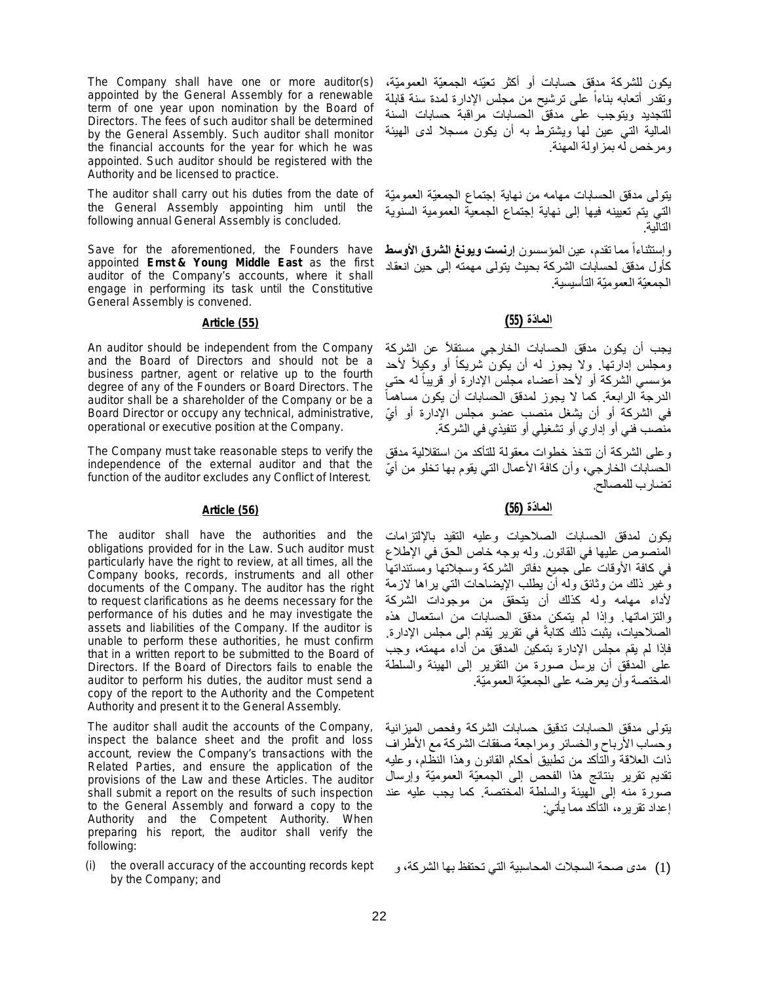The Company shall have one or more auditor(s) appointed by the General Assembly for a renewable term of one year upon nomination by the Board of Directors. The fees of such auditor shall be determined by the General Assembly. Such auditor shall monitor the financial accounts for the year for which he was appointed. Such auditor should be registered with the Authority and be licensed to practice.

The auditor shall carry out his duties from the date of the General Assembly appointing him until the following annual General Assembly is concluded.

Save for the aforementioned, the Founders have appointed **Ernst & Young Middle East** as the first auditor of the Company's accounts, where it shall engage in performing its task until the Constitutive General Assembly is convened.

An auditor should be independent from the Company and the Board of Directors and should not be a business partner, agent or relative up to the fourth degree of any of the Founders or Board Directors. The auditor shall be a shareholder of the Company or be a Board Director or occupy any technical, administrative, operational or executive position at the Company.

The Company must take reasonable steps to verify the independence of the external auditor and that the function of the auditor excludes any Conflict of Interest.

The auditor shall have the authorities and the obligations provided for in the Law. Such auditor must particularly have the right to review, at all times, all the Company books, records, instruments and all other documents of the Company. The auditor has the right to request clarifications as he deems necessary for the performance of his duties and he may investigate the assets and liabilities of the Company. If the auditor is unable to perform these authorities, he must confirm that in a written report to be submitted to the Board of Directors. If the Board of Directors fails to enable the auditor to perform his duties, the auditor must send a copy of the report to the Authority and the Competent Authority and present it to the General Assembly.

The auditor shall audit the accounts of the Company, inspect the balance sheet and the profit and loss account, review the Company's transactions with the Related Parties, and ensure the application of the provisions of the Law and these Articles. The auditor shall submit a report on the results of such inspection to the General Assembly and forward a copy to the Authority and the Competent Authority. When preparing his report, the auditor shall verify the following:

(i) the overall accuracy of the accounting records kept by the Company; and

یكون للشركة مدقق حسابات أو أكثر تعیّنھ الجمعیّة العمومیّة، وتقدر أتعابھ بناءا على ترشیح من مجلس الإدارة لمدة سنة قابلة ً للتجدید ویتوجب على مدقق الحسابات مراقبة حسابات السنة المالیة التي عین لھا ویشترط بھ أن یكون مسجلا لدى الھیئة ومرخص لھ بمزاولة المھنة.

یتولى مدقق الحسابات مھامھ من نھایة إجتماع الجمعیّة العمومیّة التي یتم تعیینھ فیھا إلى نھایة إجتماع الجمعیة العمومیة السنویة التالیة.

ً مما تقدم، عین المؤسسون **إرنست ویونغ الشرق الأوسط** وإستثناءا كأول مدقق لحسابات الشركة بحیث یتولى مھمتھ إلى حین انعقاد الجمعیّة العمومیّة التأسیسیة.

# **الما ّدة (55) (55) Article**

یجب أن یكون مدقق الحسابات الخارجي مستقلاً عن الشركة ومجلس إدارتها. ولا يجوز له أن يكون شريكاً أو وكيِلأ لأحد ً مؤسسي الشركة أو لأحد أعضاء مجلس الإدارة أو قريبا له حتى ً الدرجة الرابعة. كما لا یجوز لمدقق الحسابات أن یكون مساھما ً في الشركة أو أن یشغل منصب عضو مجلس الإدارة أو أ ّي منصب فني أو إداري أو تشغیلي أو تنفیذي في الشركة.

وعلى الشركة أن تتخذ خطوات معقولة للتأكد من استقلالیة مدقق الحسابات الخارجي، وأن كافة الأعمال التي يقوم بها تخلو من أيّ تضارب للمصالح.

# **الما ّدة (56) (56) Article**

یكون لمدقق الحسابات الصلاحیات وعلیھ التقید بالإلتزامات المنصوص علیھا في القانون. ولھ بوجھ خاص الحق في الإطلاع في كافة الأوقات على جمیع دفاتر الشركة وسجلاتھا ومستنداتھا وغیر ذلك من وثائق ولھ أن یطلب الإیضاحات التي یراھا لازمة لأداء مھامھ ولھ كذلك أن یتحقق من موجودات الشركة والتزاماتھا. وإذا لم یتمكن مدقق الحسابات من استعمال ھذه الصلاحیات، یثبت ذلك كتابةً في تقریر یُقدم إلى مجلس الإدارة. فإذا لم یقم مجلس الإدارة بتمكین المدقق من أداء مھمتھ، وجب على المدقق أن یرسل صورة من التقریر إلى الھیئة والسلطة المختصة وأن یعرضھ على الجمعیّة العمومیّة.

یتولى مدقق الحسابات تدقیق حسابات الشركة وفحص المیزانیة وحساب الأرباح والخسائر ومراجعة صفقات الشركة مع الأطراف ذات العلاقة والتأكد من تطبیق أحكام القانون وھذا النظام، وعلیھ تقدیم تقریر بنتائج ھذا الفحص إلى الجمعیّة العمومیّة وإرسال صورة منھ إلى الھیئة والسلطة المختصة. كما یجب علیھ عند إعداد تقریره، التأكد مما یأتي:

(1) مدى صحة السجلات المحاسبیة التي تحتفظ بھا الشركة، و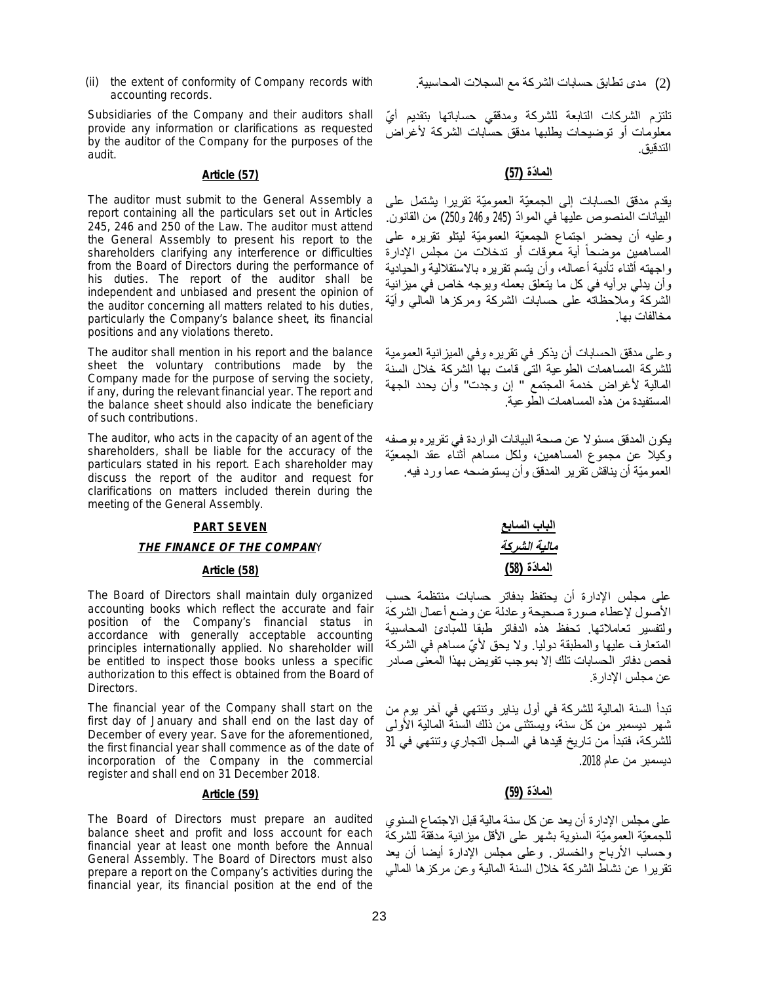(ii) the extent of conformity of Company records with accounting records.

Subsidiaries of the Company and their auditors shall provide any information or clarifications as requested by the auditor of the Company for the purposes of the audit.

The auditor must submit to the General Assembly a report containing all the particulars set out in Articles 245, 246 and 250 of the Law. The auditor must attend the General Assembly to present his report to the shareholders clarifying any interference or difficulties from the Board of Directors during the performance of his duties. The report of the auditor shall be independent and unbiased and present the opinion of the auditor concerning all matters related to his duties, particularly the Company's balance sheet, its financial positions and any violations thereto.

The auditor shall mention in his report and the balance sheet the voluntary contributions made by the Company made for the purpose of serving the society, if any, during the relevant financial year. The report and the balance sheet should also indicate the beneficiary of such contributions.

The auditor, who acts in the capacity of an agent of the shareholders, shall be liable for the accuracy of the particulars stated in his report. Each shareholder may discuss the report of the auditor and request for clarifications on matters included therein during the meeting of the General Assembly.

# **PART SEVEN** *THE FINANCE OF THE COMPANY*

### **الما ّدة (58) (58) Article**

The Board of Directors shall maintain duly organized accounting books which reflect the accurate and fair position of the Company's financial status in accordance with generally acceptable accounting principles internationally applied. No shareholder will be entitled to inspect those books unless a specific authorization to this effect is obtained from the Board of Directors.

The financial year of the Company shall start on the first day of January and shall end on the last day of December of every year. Save for the aforementioned, the first financial year shall commence as of the date of incorporation of the Company in the commercial register and shall end on 31 December 2018.

The Board of Directors must prepare an audited balance sheet and profit and loss account for each financial year at least one month before the Annual General Assembly. The Board of Directors must also prepare a report on the Company's activities during the financial year, its financial position at the end of the

(2) مدى تطابق حسابات الشركة مع السجلات المحاسبیة.

تلتزم الشركات التابعة للشركة ومدققي حساباتها بتقدیم أيّ معلومات أو توضیحات یطلبھا مدقق حسابات الشركة لأغراض التدقیق.

# **الما ّدة (57) (57) Article**

یقدم مدقق الحسابات إلى الجمعیّة العمومیّة تقریرا یشتمل على البیانات المنصوص علیها في الموادّ (245 و246 و250) من القانون. وعلیھ أن یحضر اجتماع الجمعیّة العمومیّة لیتلو تقریره على المساهمين موضحا أية معوقات أو تدخلات من مجلس الإدارة ً واجھتھ أثناء تأدیة أعمالھ، وأن یتسم تقریره بالاستقلالیة والحیادیة وأن یدلي برأیھ في كل ما یتعلق بعملھ وبوجھ خاص في میزانیة الشركة وملاحظاتھ على حسابات الشركة ومركزھا المالي وأیّة مخالفات بھا.

وعلى مدقق الحسابات أن یذكر في تقریره وفي المیزانیة العمومیة للشركة المساھمات الطوعیة التى قامت بھا الشركة خلال السنة المالیة لأغراض خدمة المجتمع " إن وجدت" وأن یحدد الجھة المستفیدة من ھذه المساھمات الطوعیة.

یكون المدقق مسئولا عن صحة البیانات الواردة في تقریره بوصفھ وكیلا عن مجموع المساھمین، ولكل مساھم أثناء عقد الجمعیّة العمومیّة أن یناقش تقریر المدقق وأن یستوضحھ عما ورد فیھ.

| الباب السابع |
|--------------|
| مالية الشركة |
| المادّة (58) |

على مجلس الإدارة أن یحتفظ بدفاتر حسابات منتظمة حسب الأصول لإعطاء صورة صحیحة وعادلة عن وضع أعمال الشركة ولتفسیر تعاملاتھا. تحفظ ھذه الدفاتر طبقا للمبادئ المحاسبیة المتعارف علیھا والمطبقة دولیا. ولا یحق لأ ّي مساھم في الشركة فحص دفاتر الحسابات تلك إلا بموجب تفویض بھذا المعنى صادر عن مجلس الإدارة.

تبدأ السنة المالیة للشركة في أول ینایر وتنتھي في آخر یوم من شھر دیسمبر من كل سنة، ویستثنى من ذلك السنة المالیة الأولى للشركة، فتبدأ من تاریخ قیدھا في السجل التجاري وتنتھي في 31 دیسمبر من عام .2018

# **الما ّدة (59) (59) Article**

على مجلس الإدارة أن یعد عن كل سنة مالیة قبل الاجتماع السنوي للجمعیّة العمومیّة السنویة بشھر على الأقل میزانیة مدققة للشركة وحساب الأرباح والخسائر. وعلى مجلس الإدارة أیضا أن یعد تقریرا عن نشاط الشركة خلال السنة المالیة وعن مركزھا المالي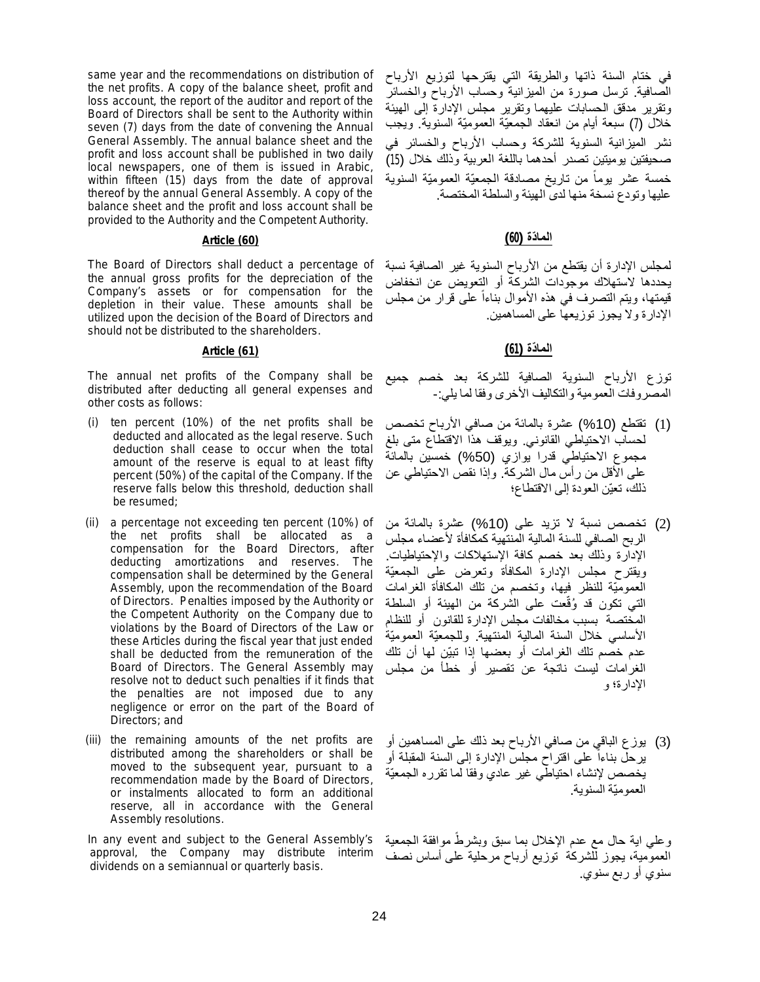same year and the recommendations on distribution of the net profits. A copy of the balance sheet, profit and loss account, the report of the auditor and report of the Board of Directors shall be sent to the Authority within seven (7) days from the date of convening the Annual General Assembly. The annual balance sheet and the profit and loss account shall be published in two daily local newspapers, one of them is issued in Arabic, within fifteen (15) days from the date of approval thereof by the annual General Assembly. A copy of the balance sheet and the profit and loss account shall be provided to the Authority and the Competent Authority.

The Board of Directors shall deduct a percentage of the annual gross profits for the depreciation of the Company's assets or for compensation for the depletion in their value. These amounts shall be utilized upon the decision of the Board of Directors and should not be distributed to the shareholders.

The annual net profits of the Company shall be distributed after deducting all general expenses and other costs as follows:

- (i) ten percent (10%) of the net profits shall be deducted and allocated as the legal reserve. Such deduction shall cease to occur when the total amount of the reserve is equal to at least fifty percent (50%) of the capital of the Company. If the reserve falls below this threshold, deduction shall be resumed;
- (ii) a percentage not exceeding ten percent (10%) of the net profits shall be allocated as a compensation for the Board Directors, after deducting amortizations and reserves. The compensation shall be determined by the General Assembly, upon the recommendation of the Board of Directors. Penalties imposed by the Authority or the Competent Authority on the Company due to violations by the Board of Directors of the Law or these Articles during the fiscal year that just ended shall be deducted from the remuneration of the Board of Directors. The General Assembly may resolve not to deduct such penalties if it finds that the penalties are not imposed due to any negligence or error on the part of the Board of Directors; and
- (iii) the remaining amounts of the net profits are distributed among the shareholders or shall be moved to the subsequent year, pursuant to a recommendation made by the Board of Directors, or instalments allocated to form an additional reserve, all in accordance with the General Assembly resolutions.

In any event and subject to the General Assembly's approval, the Company may distribute interim dividends on a semiannual or quarterly basis.

في ختام السنة ذاتھا والطریقة التي یقترحھا لتوزیع الأرباح الصافیة. ترسل صورة من المیزانیة وحساب الأرباح والخسائر وتقریر مدقق الحسابات علیھما وتقریر مجلس الإدارة إلى الھیئة خلال (7) سبعة أیام من انعقاد الجمعیّة العمومیّة السنویة. ویجب نشر المیزانیة السنویة للشركة وحساب الأرباح والخسائر في صحیفتین یومیتین تصدر أحدھما باللغة العربیة وذلك خلال (15) خمسة عشر بوما من تاريخ مصادقة الجمعیّة العمومیّة السنویة ً علیھا وتودع نسخة منھا لدى الھیئة والسلطة المختصة.

# **الما ّدة (60) (60) Article**

لمجلس الإدارة أن یقتطع من الأرباح السنویة غیر الصافیة نسبة یحددھا لاستھلاك موجودات الشركة أو التعویض عن انخفاض قیمتھا، ویتم التصرف في ھذه الأموال بناءا على قرار من مجلس ً الإدارة ولا یجوز توزیعھا على المساھمین.

# **الما ّدة (61) (61) Article**

توزع الأرباح السنویة الصافیة للشركة بعد خصم جمیع المصروفات العمومیة والتكالیف الأخرى وفقا لما یلي-:

- (1) تقتطع (%10) عشرة بالمائة من صافي الأرباح تخصص لحساب الاحتیاطي القانوني. ویوقف ھذا الاقتطاع متى بلغ مجموع الاحتیاطي قدرا یوازي (%50) خمسین بالمائة على الأقل من رأس مال الشركة. وإذا نقص الاحتیاطي عن ذلك، تعیّن العودة إلى الاقتطاع؛
- (2) تخصص نسبة لا تزید على (%10) عشرة بالمائة من الربح الصافي للسنة المالیة المنتھیة كمكافأة لأعضاء مجلس الإدارة وذلك بعد خصم كافة الإستھلاكات والإحتیاطیات. ویقترح مجلس الإدارة المكافأة وتعرض على الجمعیّة العمومیّة للنظر فیھا، وتخصم من تلك المكافأة الغرامات التي تكون قد وُقّعت على الشركة من المهيئة أو السلطة المختصة بسبب مخالفات مجلس الإدارة للقانون أو للنظام الأساسي خلال السنة المالیة المنتھیة. وللجمعیّة العمومیّة عدم خصم تلك الغرامات أو بعضھا إذا تبیّن لھا أن تلك الغرامات لیست ناتجة عن تقصیر أو خطأ من مجلس الإدارة؛ و
- (3) یوزع الباقي من صافي الأرباح بعد ذلك على المساھمین أو یرحل بناءا على اقتراح مجلس الإدارة إلى السنة المقبلة أو ً یخصص لإنشاء احتیاطي غیر عادي وفقا لما تقرره الجمعیّة العمومیّة السنویة.

وعلي اية حال مع عدم الإخلال بما سبق وبشرطً موافقة الجمعية العمومیة، یجوز للشركة توزیع أرباح مرحلیة على أساس نصف سنوي أو ربع سنوي.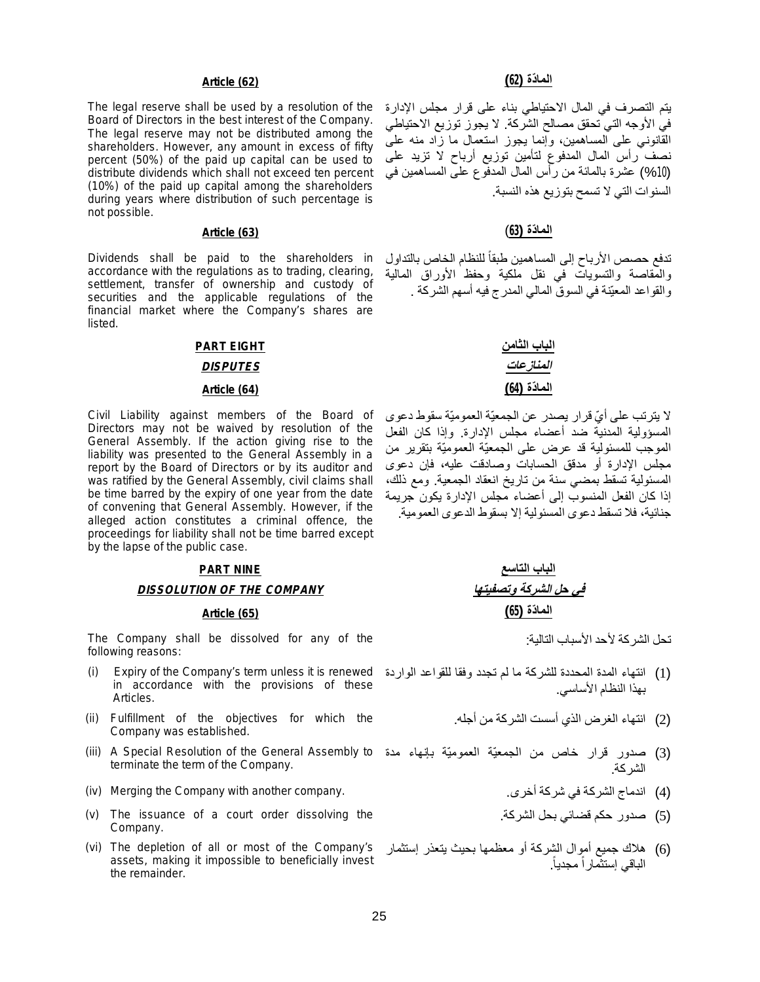### **الما ّدة (62) (62) Article**

The legal reserve shall be used by a resolution of the Board of Directors in the best interest of the Company. The legal reserve may not be distributed among the shareholders. However, any amount in excess of fifty percent (50%) of the paid up capital can be used to distribute dividends which shall not exceed ten percent (10%) of the paid up capital among the shareholders during years where distribution of such percentage is not possible.

Dividends shall be paid to the shareholders in accordance with the regulations as to trading, clearing, settlement, transfer of ownership and custody of securities and the applicable regulations of the financial market where the Company's shares are listed.

### **PART EIGHT**

### *DISPUTES*

### **الما ّدة (64) (64) Article**

Civil Liability against members of the Board of Directors may not be waived by resolution of the General Assembly. If the action giving rise to the liability was presented to the General Assembly in a report by the Board of Directors or by its auditor and was ratified by the General Assembly, civil claims shall be time barred by the expiry of one year from the date of convening that General Assembly. However, if the alleged action constitutes a criminal offence, the proceedings for liability shall not be time barred except by the lapse of the public case.

### **PART NINE**

### *DISSOLUTION OF THE COMPANY*

### **الما ّدة (65) (65) Article**

The Company shall be dissolved for any of the following reasons:

- (i) Expiry of the Company's term unless it is renewed in accordance with the provisions of these Articles.
- (ii) Fulfillment of the objectives for which the Company was established.
- (iii) A Special Resolution of the General Assembly to terminate the term of the Company.
- (iv) Merging the Company with another company. .أخرى شركة في الشركة اندماج) 4(
- (v) The issuance of a court order dissolving the Company.
- (vi) The depletion of all or most of the Company's assets, making it impossible to beneficially invest the remainder.

یتم التصرف في المال الاحتیاطي بناء على قرار مجلس الإدارة في الأوجھ التي تحقق مصالح الشركة. لا یجوز توزیع الاحتیاطي القانوني على المساھمین، وإنما یجوز استعمال ما زاد منھ على نصف رأس المال المدفوع لتأمین توزیع أرباح لا تزید على (%10) عشرة بالمائة من رأس المال المدفوع على المساھمین في السنوات التي لا تسمح بتوزیع ھذه النسبة.

### **الما ّدة (63**) **(63) Article**

تدفع حصص الأرباح إلى المساهمين طبقا للنظام الخاص بالتداول ً والمقاصة والتسویات في نقل ملكیة وحفظ الأوراق المالیة والقواعد المعیّنة في السوق المالي المدرج فیھ أسھم الشركة .

| الباب الثامن |  |
|--------------|--|
| المنازعات    |  |
| المادّة (64) |  |

لا یترتب على أ ّي قرار یصدر عن الجمعیّة العمومیّة سقوط دعوى المسؤولیة المدنیة ضد أعضاء مجلس الإدارة. وإذا كان الفعل الموجب للمسئولیة قد عرض على الجمعیّة العمومیّة بتقریر من مجلس الإدارة أو مدقق الحسابات وصادقت علیھ، فإن دعوى المسئولیة تسقط بمضي سنة من تاریخ انعقاد الجمعیة. ومع ذلك، إذا كان الفعل المنسوب إلى أعضاء مجلس الإدارة یكون جریمة جنائیة، فلا تسقط دعوى المسئولیة إلا بسقوط الدعوى العمومیة.

| الباب التاسع                 |
|------------------------------|
| <u>في حل الشركة وتصفيتها</u> |
| المادّة (65)                 |

تحل الشركة لأحد الأسباب التالیة:

- (1) انتھاء المدة المحددة للشركة ما لم تجدد وفقا للقواعد الواردة بھذا النظام الأساسي.
	- (2) انتھاء الغرض الذي أسست الشركة من أجلھ.
- (3) صدور قرار خاص من الجمعیّة العمومیّة بإنھاء مدة الشركة.
	-
	- (5) صدور حكم قضائي بحل الشركة.
- (6) ھلاك جمیع أموال الشركة أو معظمھا بحیث یتعذر إستثمار الباقي إستثمارا مجدیاً.ً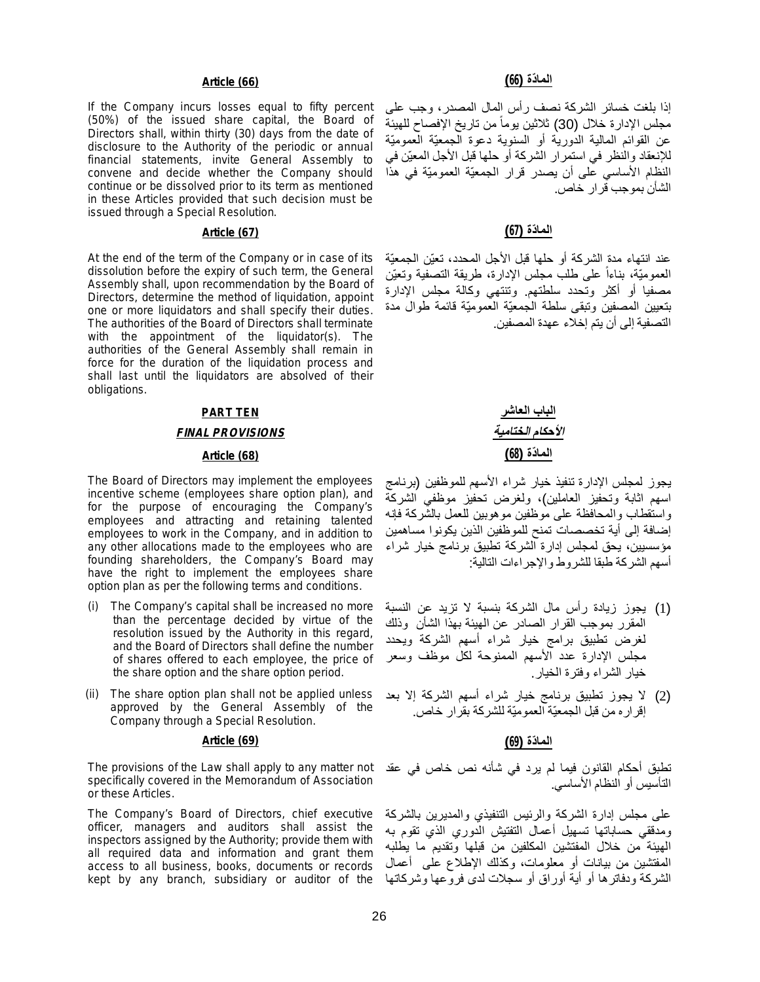If the Company incurs losses equal to fifty percent (50%) of the issued share capital, the Board of Directors shall, within thirty (30) days from the date of disclosure to the Authority of the periodic or annual financial statements, invite General Assembly to convene and decide whether the Company should continue or be dissolved prior to its term as mentioned in these Articles provided that such decision must be issued through a Special Resolution.

At the end of the term of the Company or in case of its dissolution before the expiry of such term, the General Assembly shall, upon recommendation by the Board of Directors, determine the method of liquidation, appoint one or more liquidators and shall specify their duties. The authorities of the Board of Directors shall terminate with the appointment of the liquidator(s). The authorities of the General Assembly shall remain in force for the duration of the liquidation process and shall last until the liquidators are absolved of their obligations.

### **PART TEN**

### *FINAL PROVISIONS*

The Board of Directors may implement the employees incentive scheme (employees share option plan), and for the purpose of encouraging the Company's employees and attracting and retaining talented employees to work in the Company, and in addition to any other allocations made to the employees who are founding shareholders, the Company's Board may have the right to implement the employees share option plan as per the following terms and conditions.

- (i) The Company's capital shall be increased no more than the percentage decided by virtue of the resolution issued by the Authority in this regard, and the Board of Directors shall define the number of shares offered to each employee, the price of the share option and the share option period.
- (ii) The share option plan shall not be applied unless approved by the General Assembly of the Company through a Special Resolution.

### **الما ّدة (69) (69) Article**

The provisions of the Law shall apply to any matter not specifically covered in the Memorandum of Association or these Articles.

The Company's Board of Directors, chief executive officer, managers and auditors shall assist the inspectors assigned by the Authority; provide them with all required data and information and grant them access to all business, books, documents or records kept by any branch, subsidiary or auditor of the

### **الما ّدة (66) (66) Article**

إذا بلغت خسائر الشركة نصف رأس المال المصدر، وجب على مجلس الإدارة خلال (30) ثلاثين يوماً من تاريخ الإفصاح للهيئة عن القوائم المالیة الدوریة أو السنویة دعوة الجمعیّة العمومیّة للإنعقاد والنظر في استمرار الشركة أو حلھا قبل الأجل المعیّن في النظام الأساسي على أن یصدر قرار الجمعیّة العمومیّة في ھذا الشأن بموجب قرار خاص.

### **الما ّدة (67) (67) Article**

عند انتھاء مدة الشركة أو حلھا قبل الأجل المحدد، تعیّن الجمعیّة العمومیّة ، بناءا على طلب مجلس الإدارة، طریقة التصفیة وتعیّن ً مصفیا أو أكثر وتحدد سلطتھم. وتنتھي وكالة مجلس الإدارة بتعیین المصفین وتبقى سلطة الجمعیّة العمومیّة قائمة طوال مدة التصفیة إلى أن یتم إخلاء عھدة المصفین.

# **الباب العاشر** *الأحكام الختامیة* **الما ّدة (68) (68) Article**

یجوز لمجلس الإدارة تنفیذ خیار شراء الأسھم للموظفین (برنامج اسھم اثابة وتحفیز العاملین)، ولغرض تحفیز موظفي الشركة واستقطاب والمحافظة على موظفین موھوبین للعمل بالشركة فإنھ إضافة إلى أیة تخصصات تمنح للموظفین الذین یكونوا مساھمین مؤسسیین، یحق لمجلس إدارة الشركة تطبیق برنامج خیار شراء أسھم الشركة طبقا للشروط والإجراءات التالیة:

- (1) یجوز زیادة رأس مال الشركة بنسبة لا تزید عن النسبة المقرر بموجب القرار الصادر عن الھیئة بھذا الشأن وذلك لغرض تطبیق برامج خیار شراء أسھم الشركة ویحدد مجلس الإدارة عدد الأسھم الممنوحة لكل موظف وسعر خیار الشراء وفترة الخیار.
- (2) لا یجوز تطبیق برنامج خیار شراء أسھم الشركة إلا بعد إقراره من قبل الجمعیّة العمومیّة للشركة بقرار خاص.

تطبق أحكام القانون فیما لم یرد في شأنھ نص خاص في عقد التأسیس أو النظام الأساسي.

على مجلس إدارة الشركة والرئیس التنفیذي والمدیرین بالشركة ومدققي حساباتھا تسھیل أعمال التفتیش الدوري الذي تقوم بھ الھیئة من خلال المفتشین المكلفین من قبلھا وتقدیم ما یطلبھ المفتشین من بیانات أو معلومات، وكذلك الإطلاع على أعمال الشركة ودفاترھا أو أیة أوراق أو سجلات لدى فروعھا وشركاتھا